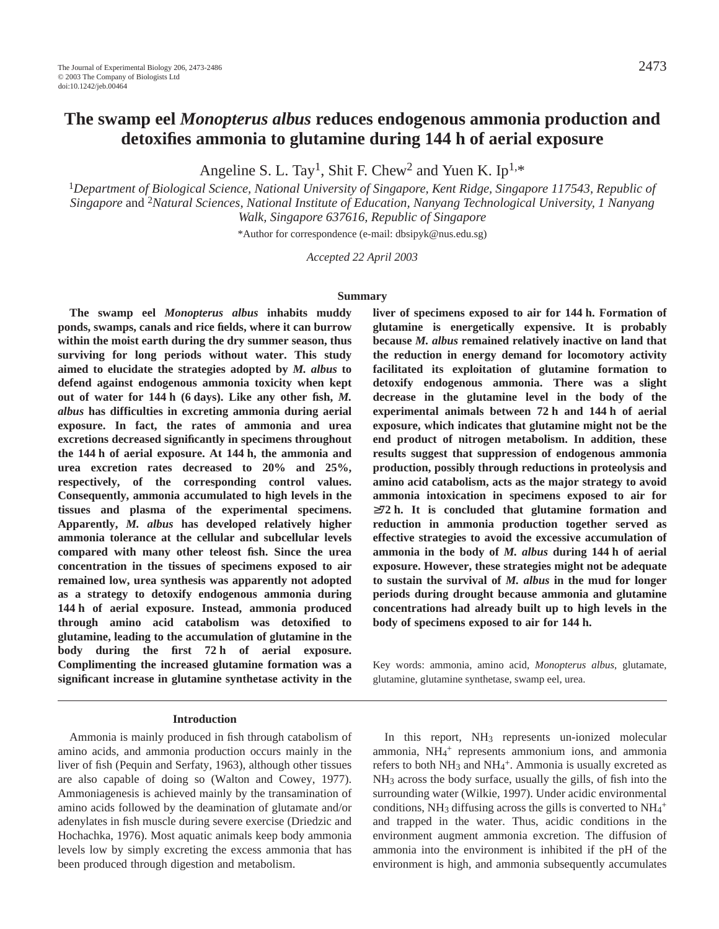# **The swamp eel** *Monopterus albus* **reduces endogenous ammonia production and detoxifies ammonia to glutamine during 144·h of aerial exposure**

Angeline S. L. Tay<sup>1</sup>, Shit F. Chew<sup>2</sup> and Yuen K. Ip<sup>1,\*</sup>

<sup>1</sup>*Department of Biological Science, National University of Singapore, Kent Ridge, Singapore 117543, Republic of Singapore* and 2*Natural Sciences, National Institute of Education, Nanyang Technological University, 1 Nanyang Walk, Singapore 637616, Republic of Singapore*

\*Author for correspondence (e-mail: dbsipyk@nus.edu.sg)

*Accepted 22 April 2003*

#### **Summary**

**The swamp eel** *Monopterus albus* **inhabits muddy ponds, swamps, canals and rice fields, where it can burrow within the moist earth during the dry summer season, thus surviving for long periods without water. This study aimed to elucidate the strategies adopted by** *M. albus* **to defend against endogenous ammonia toxicity when kept** out of water for 144 h (6 days). Like any other fish, *M*. *albus* **has difficulties in excreting ammonia during aerial exposure. In fact, the rates of ammonia and urea excretions decreased significantly in specimens throughout the 144·h of aerial exposure. At 144·h, the ammonia and urea excretion rates decreased to 20% and 25%, respectively, of the corresponding control values. Consequently, ammonia accumulated to high levels in the tissues and plasma of the experimental specimens. Apparently,** *M. albus* **has developed relatively higher ammonia tolerance at the cellular and subcellular levels compared with many other teleost fish. Since the urea concentration in the tissues of specimens exposed to air remained low, urea synthesis was apparently not adopted as a strategy to detoxify endogenous ammonia during** 144 h of aerial exposure. Instead, ammonia produced **through amino acid catabolism was detoxified to glutamine, leading to the accumulation of glutamine in the** body during the first 72 h of aerial exposure. **Complimenting the increased glutamine formation was a significant increase in glutamine synthetase activity in the**

#### **Introduction**

Ammonia is mainly produced in fish through catabolism of amino acids, and ammonia production occurs mainly in the liver of fish (Pequin and Serfaty, 1963), although other tissues are also capable of doing so (Walton and Cowey, 1977). Ammoniagenesis is achieved mainly by the transamination of amino acids followed by the deamination of glutamate and/or adenylates in fish muscle during severe exercise (Driedzic and Hochachka, 1976). Most aquatic animals keep body ammonia levels low by simply excreting the excess ammonia that has been produced through digestion and metabolism.

liver of specimens exposed to air for 144 h. Formation of **glutamine is energetically expensive. It is probably because** *M. albus* **remained relatively inactive on land that the reduction in energy demand for locomotory activity facilitated its exploitation of glutamine formation to detoxify endogenous ammonia. There was a slight decrease in the glutamine level in the body of the** experimental animals between 72 h and 144 h of aerial **exposure, which indicates that glutamine might not be the end product of nitrogen metabolism. In addition, these results suggest that suppression of endogenous ammonia production, possibly through reductions in proteolysis and amino acid catabolism, acts as the major strategy to avoid ammonia intoxication in specimens exposed to air for**  $\geq$ 72 h. It is concluded that glutamine formation and **reduction in ammonia production together served as effective strategies to avoid the excessive accumulation of** ammonia in the body of *M. albus* during 144 h of aerial **exposure. However, these strategies might not be adequate to sustain the survival of** *M. albus* **in the mud for longer periods during drought because ammonia and glutamine concentrations had already built up to high levels in the body of specimens exposed to air for 144·h.**

Key words: ammonia, amino acid, *Monopterus albus*, glutamate, glutamine, glutamine synthetase, swamp eel, urea.

In this report, NH<sub>3</sub> represents un-ionized molecular ammonia, NH4 <sup>+</sup> represents ammonium ions, and ammonia refers to both NH<sub>3</sub> and NH<sub>4</sub><sup>+</sup>. Ammonia is usually excreted as NH3 across the body surface, usually the gills, of fish into the surrounding water (Wilkie, 1997). Under acidic environmental conditions, NH<sub>3</sub> diffusing across the gills is converted to  $NH_4$ <sup>+</sup> and trapped in the water. Thus, acidic conditions in the environment augment ammonia excretion. The diffusion of ammonia into the environment is inhibited if the pH of the environment is high, and ammonia subsequently accumulates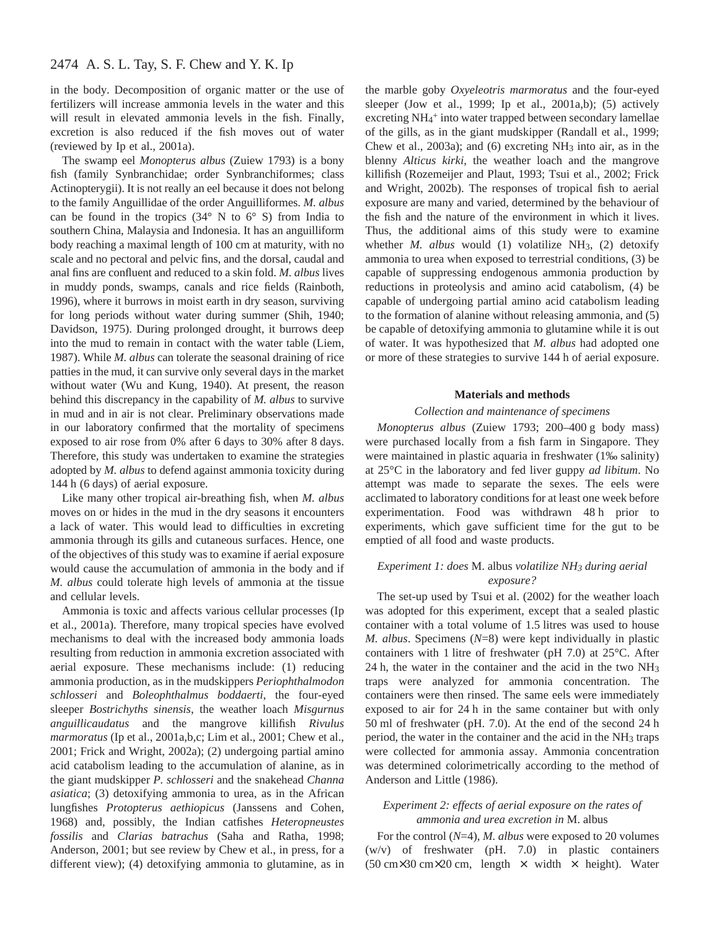in the body. Decomposition of organic matter or the use of fertilizers will increase ammonia levels in the water and this will result in elevated ammonia levels in the fish. Finally, excretion is also reduced if the fish moves out of water (reviewed by Ip et al., 2001a).

The swamp eel *Monopterus albus* (Zuiew 1793) is a bony fish (family Synbranchidae; order Synbranchiformes; class Actinopterygii). It is not really an eel because it does not belong to the family Anguillidae of the order Anguilliformes. *M. albus* can be found in the tropics  $(34^{\circ} \text{ N to } 6^{\circ} \text{ S})$  from India to southern China, Malaysia and Indonesia. It has an anguilliform body reaching a maximal length of 100 cm at maturity, with no scale and no pectoral and pelvic fins, and the dorsal, caudal and anal fins are confluent and reduced to a skin fold. *M. albus* lives in muddy ponds, swamps, canals and rice fields (Rainboth, 1996), where it burrows in moist earth in dry season, surviving for long periods without water during summer (Shih, 1940; Davidson, 1975). During prolonged drought, it burrows deep into the mud to remain in contact with the water table (Liem, 1987). While *M. albus* can tolerate the seasonal draining of rice patties in the mud, it can survive only several days in the market without water (Wu and Kung, 1940). At present, the reason behind this discrepancy in the capability of *M. albus* to survive in mud and in air is not clear. Preliminary observations made in our laboratory confirmed that the mortality of specimens exposed to air rose from 0% after 6 days to 30% after 8 days. Therefore, this study was undertaken to examine the strategies adopted by *M. albus* to defend against ammonia toxicity during 144 h (6 days) of aerial exposure.

Like many other tropical air-breathing fish, when *M. albus* moves on or hides in the mud in the dry seasons it encounters a lack of water. This would lead to difficulties in excreting ammonia through its gills and cutaneous surfaces. Hence, one of the objectives of this study was to examine if aerial exposure would cause the accumulation of ammonia in the body and if *M. albus* could tolerate high levels of ammonia at the tissue and cellular levels.

Ammonia is toxic and affects various cellular processes (Ip et al., 2001a). Therefore, many tropical species have evolved mechanisms to deal with the increased body ammonia loads resulting from reduction in ammonia excretion associated with aerial exposure. These mechanisms include: (1) reducing ammonia production, as in the mudskippers *Periophthalmodon schlosseri* and *Boleophthalmus boddaerti*, the four-eyed sleeper *Bostrichyths sinensis*, the weather loach *Misgurnus anguillicaudatus* and the mangrove killifish *Rivulus marmoratus* (Ip et al., 2001a,b,c; Lim et al., 2001; Chew et al., 2001; Frick and Wright, 2002a); (2) undergoing partial amino acid catabolism leading to the accumulation of alanine, as in the giant mudskipper *P. schlosseri* and the snakehead *Channa asiatica*; (3) detoxifying ammonia to urea, as in the African lungfishes *Protopterus aethiopicus* (Janssens and Cohen, 1968) and, possibly, the Indian catfishes *Heteropneustes fossilis* and *Clarias batrachus* (Saha and Ratha, 1998; Anderson, 2001; but see review by Chew et al., in press, for a different view); (4) detoxifying ammonia to glutamine, as in

the marble goby *Oxyeleotris marmoratus* and the four-eyed sleeper (Jow et al., 1999; Ip et al., 2001a,b); (5) actively excreting NH<sub>4</sub><sup>+</sup> into water trapped between secondary lamellae of the gills, as in the giant mudskipper (Randall et al., 1999; Chew et al., 2003a); and (6) excreting NH3 into air, as in the blenny *Alticus kirki*, the weather loach and the mangrove killifish (Rozemeijer and Plaut, 1993; Tsui et al., 2002; Frick and Wright, 2002b). The responses of tropical fish to aerial exposure are many and varied, determined by the behaviour of the fish and the nature of the environment in which it lives. Thus, the additional aims of this study were to examine whether *M. albus* would (1) volatilize NH3, (2) detoxify ammonia to urea when exposed to terrestrial conditions, (3) be capable of suppressing endogenous ammonia production by reductions in proteolysis and amino acid catabolism, (4) be capable of undergoing partial amino acid catabolism leading to the formation of alanine without releasing ammonia, and (5) be capable of detoxifying ammonia to glutamine while it is out of water. It was hypothesized that *M. albus* had adopted one or more of these strategies to survive 144 h of aerial exposure.

#### **Materials and methods**

#### *Collection and maintenance of specimens*

*Monopterus albus* (Zuiew 1793; 200-400 g body mass) were purchased locally from a fish farm in Singapore. They were maintained in plastic aquaria in freshwater (1‰ salinity) at 25°C in the laboratory and fed liver guppy *ad libitum*. No attempt was made to separate the sexes. The eels were acclimated to laboratory conditions for at least one week before experimentation. Food was withdrawn 48h prior to experiments, which gave sufficient time for the gut to be emptied of all food and waste products.

### *Experiment 1: does* M. albus *volatilize NH3 during aerial exposure?*

The set-up used by Tsui et al. (2002) for the weather loach was adopted for this experiment, except that a sealed plastic container with a total volume of 1.5 litres was used to house *M. albus*. Specimens (*N*=8) were kept individually in plastic containers with 1 litre of freshwater (pH 7.0) at  $25^{\circ}$ C. After 24 h, the water in the container and the acid in the two  $NH<sub>3</sub>$ traps were analyzed for ammonia concentration. The containers were then rinsed. The same eels were immediately exposed to air for 24 h in the same container but with only 50 ml of freshwater (pH. 7.0). At the end of the second 24 h period, the water in the container and the acid in the  $NH<sub>3</sub>$  traps were collected for ammonia assay. Ammonia concentration was determined colorimetrically according to the method of Anderson and Little (1986).

#### *Experiment 2: effects of aerial exposure on the rates of ammonia and urea excretion in* M. albus

For the control (*N*=4), *M. albus* were exposed to 20 volumes (w/v) of freshwater (pH. 7.0) in plastic containers (50 cm×30 cm×20 cm, length  $\times$  width  $\times$  height). Water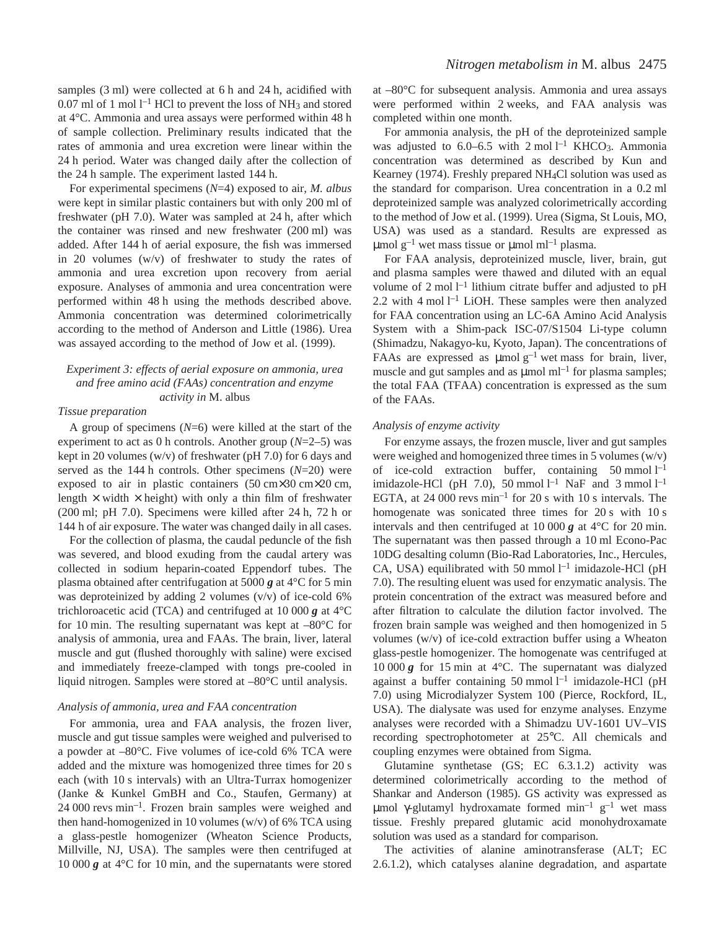samples  $(3 \text{ ml})$  were collected at 6 h and 24 h, acidified with 0.07 ml of 1 mol  $l^{-1}$  HCl to prevent the loss of NH<sub>3</sub> and stored at 4°C. Ammonia and urea assays were performed within 48 h of sample collection. Preliminary results indicated that the rates of ammonia and urea excretion were linear within the 24 h period. Water was changed daily after the collection of the 24 h sample. The experiment lasted 144 h.

For experimental specimens (*N*=4) exposed to air, *M. albus* were kept in similar plastic containers but with only 200 ml of freshwater (pH 7.0). Water was sampled at 24 h, after which the container was rinsed and new freshwater (200 ml) was added. After 144 h of aerial exposure, the fish was immersed in 20 volumes (w/v) of freshwater to study the rates of ammonia and urea excretion upon recovery from aerial exposure. Analyses of ammonia and urea concentration were performed within 48 h using the methods described above. Ammonia concentration was determined colorimetrically according to the method of Anderson and Little (1986). Urea was assayed according to the method of Jow et al. (1999).

## *Experiment 3: effects of aerial exposure on ammonia, urea and free amino acid (FAAs) concentration and enzyme activity in* M. albus

#### *Tissue preparation*

A group of specimens (*N*=6) were killed at the start of the experiment to act as 0 h controls. Another group  $(N=2-5)$  was kept in 20 volumes (w/v) of freshwater (pH 7.0) for 6 days and served as the 144 h controls. Other specimens  $(N=20)$  were exposed to air in plastic containers  $(50 \text{ cm} \times 30 \text{ cm} \times 20 \text{ cm}$ , length  $\times$  width  $\times$  height) with only a thin film of freshwater  $(200 \text{ ml}; \text{ pH } 7.0)$ . Specimens were killed after 24 h, 72 h or 144 h of air exposure. The water was changed daily in all cases.

For the collection of plasma, the caudal peduncle of the fish was severed, and blood exuding from the caudal artery was collected in sodium heparin-coated Eppendorf tubes. The plasma obtained after centrifugation at 5000  $g$  at 4<sup>°</sup>C for 5 min was deproteinized by adding 2 volumes  $(v/v)$  of ice-cold 6% trichloroacetic acid (TCA) and centrifuged at  $10\,000\,\text{g}$  at  $4^{\circ}\text{C}$ for 10 min. The resulting supernatant was kept at  $-80^{\circ}$ C for analysis of ammonia, urea and FAAs. The brain, liver, lateral muscle and gut (flushed thoroughly with saline) were excised and immediately freeze-clamped with tongs pre-cooled in liquid nitrogen. Samples were stored at –80°C until analysis.

#### *Analysis of ammonia, urea and FAA concentration*

For ammonia, urea and FAA analysis, the frozen liver, muscle and gut tissue samples were weighed and pulverised to a powder at –80°C. Five volumes of ice-cold 6% TCA were added and the mixture was homogenized three times for 20 s each (with 10 s intervals) with an Ultra-Turrax homogenizer (Janke & Kunkel GmBH and Co., Staufen, Germany) at  $24\,000$  revs min<sup>-1</sup>. Frozen brain samples were weighed and then hand-homogenized in 10 volumes ( $w/v$ ) of 6% TCA using a glass-pestle homogenizer (Wheaton Science Products, Millville, NJ, USA). The samples were then centrifuged at 10 000  $g$  at 4 $\degree$ C for 10 min, and the supernatants were stored

at –80°C for subsequent analysis. Ammonia and urea assays were performed within 2 weeks, and FAA analysis was completed within one month.

For ammonia analysis, the pH of the deproteinized sample was adjusted to  $6.0-6.5$  with  $2 \text{ mol } l^{-1}$  KHCO<sub>3</sub>. Ammonia concentration was determined as described by Kun and Kearney (1974). Freshly prepared NH4Cl solution was used as the standard for comparison. Urea concentration in a 0.2 ml deproteinized sample was analyzed colorimetrically according to the method of Jow et al. (1999). Urea (Sigma, St Louis, MO, USA) was used as a standard. Results are expressed as  $\mu$ mol g<sup>-1</sup> wet mass tissue or  $\mu$ mol ml<sup>-1</sup> plasma.

For FAA analysis, deproteinized muscle, liver, brain, gut and plasma samples were thawed and diluted with an equal volume of 2 mol  $l^{-1}$  lithium citrate buffer and adjusted to pH 2.2 with 4 mol  $l^{-1}$  LiOH. These samples were then analyzed for FAA concentration using an LC-6A Amino Acid Analysis System with a Shim-pack ISC-07/S1504 Li-type column (Shimadzu, Nakagyo-ku, Kyoto, Japan). The concentrations of FAAs are expressed as  $\mu$ molg<sup>-1</sup> wet mass for brain, liver, muscle and gut samples and as  $\mu$ mol ml<sup>-1</sup> for plasma samples; the total FAA (TFAA) concentration is expressed as the sum of the FAAs.

#### *Analysis of enzyme activity*

For enzyme assays, the frozen muscle, liver and gut samples were weighed and homogenized three times in 5 volumes (w/v) of ice-cold extraction buffer, containing  $50 \text{ mmol } l^{-1}$ imidazole-HCl (pH 7.0), 50 mmol  $l^{-1}$  NaF and 3 mmol  $l^{-1}$ EGTA, at 24 000 revs  $min^{-1}$  for 20 s with 10 s intervals. The homogenate was sonicated three times for  $20 s$  with  $10 s$ intervals and then centrifuged at  $10\,000\,\text{g}$  at  $4^{\circ}\text{C}$  for 20 min. The supernatant was then passed through a 10 ml Econo-Pac 10DG desalting column (Bio-Rad Laboratories, Inc., Hercules, CA, USA) equilibrated with 50 mmol  $l^{-1}$  imidazole-HCl (pH 7.0). The resulting eluent was used for enzymatic analysis. The protein concentration of the extract was measured before and after filtration to calculate the dilution factor involved. The frozen brain sample was weighed and then homogenized in 5 volumes (w/v) of ice-cold extraction buffer using a Wheaton glass-pestle homogenizer. The homogenate was centrifuged at 10 000  $g$  for 15 min at 4°C. The supernatant was dialyzed against a buffer containing  $50$  mmol  $l^{-1}$  imidazole-HCl (pH 7.0) using Microdialyzer System 100 (Pierce, Rockford, IL, USA). The dialysate was used for enzyme analyses. Enzyme analyses were recorded with a Shimadzu UV-1601 UV–VIS recording spectrophotometer at 25°C. All chemicals and coupling enzymes were obtained from Sigma.

Glutamine synthetase (GS; EC 6.3.1.2) activity was determined colorimetrically according to the method of Shankar and Anderson (1985). GS activity was expressed as μmol γ-glutamyl hydroxamate formed min<sup>-1</sup> g<sup>-1</sup> wet mass tissue. Freshly prepared glutamic acid monohydroxamate solution was used as a standard for comparison.

The activities of alanine aminotransferase (ALT; EC 2.6.1.2), which catalyses alanine degradation, and aspartate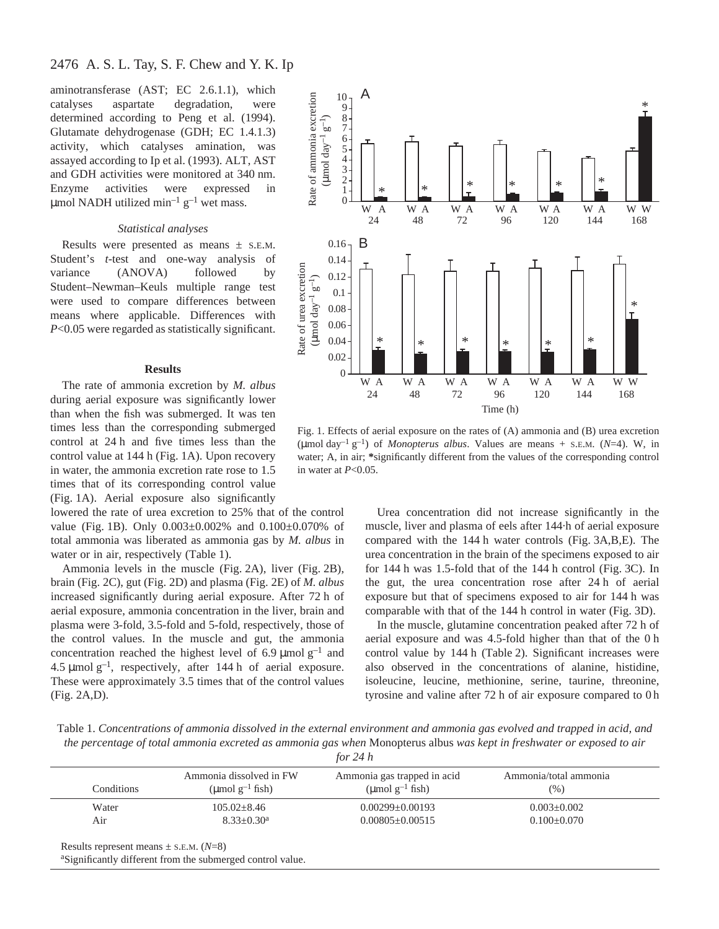aminotransferase (AST; EC 2.6.1.1), which catalyses aspartate degradation, were determined according to Peng et al. (1994). Glutamate dehydrogenase (GDH; EC 1.4.1.3) activity, which catalyses amination, was assayed according to Ip et al. (1993). ALT, AST and GDH activities were monitored at 340 nm. Enzyme activities were expressed in µmol NADH utilized min<sup>-1</sup>  $g^{-1}$  wet mass.

#### *Statistical analyses*

Results were presented as means ± S.E.M. Student's *t*-test and one-way analysis of variance (ANOVA) followed by Student–Newman–Keuls multiple range test were used to compare differences between means where applicable. Differences with *P*<0.05 were regarded as statistically significant.

#### **Results**

The rate of ammonia excretion by *M. albus* during aerial exposure was significantly lower than when the fish was submerged. It was ten times less than the corresponding submerged control at 24 h and five times less than the control value at 144 h (Fig. 1A). Upon recovery in water, the ammonia excretion rate rose to 1.5 times that of its corresponding control value (Fig. 1A). Aerial exposure also significantly

lowered the rate of urea excretion to 25% that of the control value (Fig. 1B). Only  $0.003\pm0.002\%$  and  $0.100\pm0.070\%$  of total ammonia was liberated as ammonia gas by *M. albus* in water or in air, respectively (Table 1).

Ammonia levels in the muscle (Fig. 2A), liver (Fig. 2B), brain (Fig. 2C), gut (Fig. 2D) and plasma (Fig. 2E) of *M. albus* increased significantly during aerial exposure. After 72 h of aerial exposure, ammonia concentration in the liver, brain and plasma were 3-fold, 3.5-fold and 5-fold, respectively, those of the control values. In the muscle and gut, the ammonia concentration reached the highest level of 6.9  $\mu$ mol g<sup>-1</sup> and 4.5  $\mu$ mol g<sup>-1</sup>, respectively, after 144 h of aerial exposure. These were approximately 3.5 times that of the control values (Fig. 2A,D).



Fig. 1. Effects of aerial exposure on the rates of  $(A)$  ammonia and  $(B)$  urea excretion (µmol day<sup>-1</sup> g<sup>-1</sup>) of *Monopterus albus*. Values are means + S.E.M. ( $N=4$ ). W, in water; A, in air; **\***significantly different from the values of the corresponding control in water at *P*<0.05.

Urea concentration did not increase significantly in the muscle, liver and plasma of eels after 144·h of aerial exposure compared with the 144 h water controls (Fig. 3A,B,E). The urea concentration in the brain of the specimens exposed to air for 144 h was 1.5-fold that of the  $144h$  control (Fig. 3C). In the gut, the urea concentration rose after 24 h of aerial exposure but that of specimens exposed to air for 144 h was comparable with that of the 144 h control in water (Fig. 3D).

In the muscle, glutamine concentration peaked after 72 h of aerial exposure and was  $4.5$ -fold higher than that of the  $0 h$ control value by 144 h (Table 2). Significant increases were also observed in the concentrations of alanine, histidine, isoleucine, leucine, methionine, serine, taurine, threonine, tyrosine and valine after 72 h of air exposure compared to 0 h

Table 1. *Concentrations of ammonia dissolved in the external environment and ammonia gas evolved and trapped in acid, and the percentage of total ammonia excreted as ammonia gas when* Monopterus albus *was kept in freshwater or exposed to air*

| $\frac{r}{r}$ | n. |
|---------------|----|
|               |    |

| Conditions | Ammonia dissolved in FW<br>(µmol $g^{-1}$ fish) | Ammonia gas trapped in acid<br>(µmol $g^{-1}$ fish) | Ammonia/total ammonia<br>$(\%)$ |
|------------|-------------------------------------------------|-----------------------------------------------------|---------------------------------|
| Water      | $105.02 \pm 8.46$                               | $0.00299 \pm 0.00193$                               | $0.003 + 0.002$                 |
| Air        | $8.33+0.30a$                                    | $0.00805 + 0.00515$                                 | $0.100 \pm 0.070$               |

aSignificantly different from the submerged control value.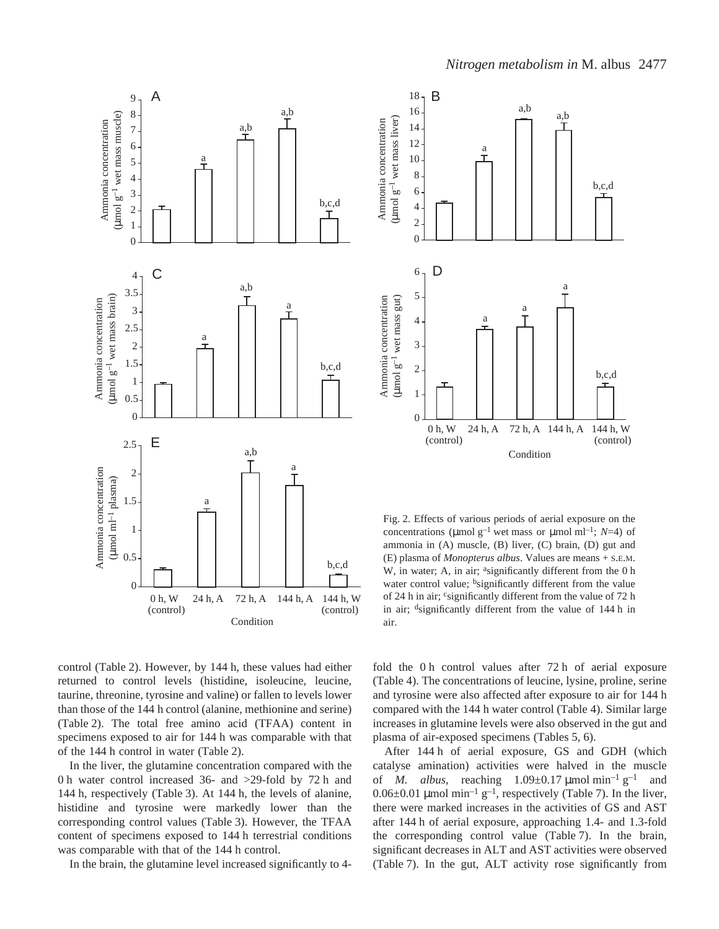



Fig. 2. Effects of various periods of aerial exposure on the concentrations (µmol  $g^{-1}$  wet mass or µmol ml<sup>-1</sup>; *N*=4) of ammonia in (A) muscle, (B) liver, (C) brain, (D) gut and (E) plasma of *Monopterus albus*. Values are means + S.E.M. W, in water; A, in air; <sup>a</sup>significantly different from the 0 h water control value; <sup>b</sup>significantly different from the value of 24 h in air; csignificantly different from the value of 72 h in air;  $\frac{d}{dx}$  is different from the value of 144 h in air.

control (Table 2). However, by 144 h, these values had either returned to control levels (histidine, isoleucine, leucine, taurine, threonine, tyrosine and valine) or fallen to levels lower than those of the 144 h control (alanine, methionine and serine) (Table 2). The total free amino acid (TFAA) content in specimens exposed to air for 144 h was comparable with that of the 144 h control in water (Table 2).

In the liver, the glutamine concentration compared with the 0 h water control increased 36- and  $>$ 29-fold by 72 h and 144 h, respectively (Table 3). At 144 h, the levels of alanine, histidine and tyrosine were markedly lower than the corresponding control values (Table 3). However, the TFAA content of specimens exposed to 144 h terrestrial conditions was comparable with that of the 144 h control.

In the brain, the glutamine level increased significantly to 4-

fold the 0 h control values after  $72 h$  of aerial exposure (Table 4). The concentrations of leucine, lysine, proline, serine and tyrosine were also affected after exposure to air for 144 h compared with the 144 h water control (Table 4). Similar large increases in glutamine levels were also observed in the gut and plasma of air-exposed specimens (Tables 5, 6).

After 144 h of aerial exposure, GS and GDH (which catalyse amination) activities were halved in the muscle of *M. albus*, reaching  $1.09\pm0.17 \text{ \mu mol min}^{-1} \text{ g}^{-1}$  and  $0.06\pm0.01$  µmol min<sup>-1</sup> g<sup>-1</sup>, respectively (Table 7). In the liver, there were marked increases in the activities of GS and AST after 144 h of aerial exposure, approaching 1.4- and 1.3-fold the corresponding control value (Table 7). In the brain, significant decreases in ALT and AST activities were observed (Table 7). In the gut, ALT activity rose significantly from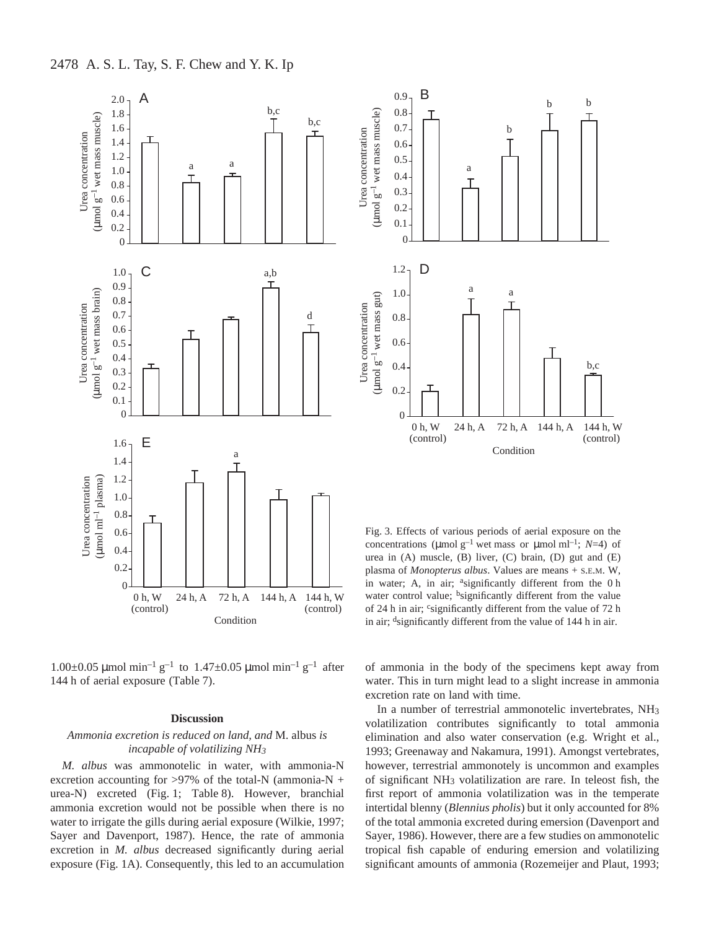

1.00 $\pm$ 0.05  $\mu$ mol min<sup>-1</sup> g<sup>-1</sup> to 1.47 $\pm$ 0.05  $\mu$ mol min<sup>-1</sup> g<sup>-1</sup> after 144 h of aerial exposure (Table 7).

#### **Discussion**

### *Ammonia excretion is reduced on land, and* M. albus *is incapable of volatilizing NH3*

*M. albus* was ammonotelic in water, with ammonia-N excretion accounting for  $>97\%$  of the total-N (ammonia-N + urea-N) excreted (Fig. 1; Table 8). However, branchial ammonia excretion would not be possible when there is no water to irrigate the gills during aerial exposure (Wilkie, 1997; Sayer and Davenport, 1987). Hence, the rate of ammonia excretion in *M. albus* decreased significantly during aerial exposure (Fig. 1A). Consequently, this led to an accumulation



Fig. 3. Effects of various periods of aerial exposure on the concentrations (µmol  $g^{-1}$  wet mass or µmol ml<sup>-1</sup>; *N*=4) of urea in (A) muscle, (B) liver, (C) brain, (D) gut and (E) plasma of *Monopterus albus*. Values are means + S.E.M. W, in water; A, in air; <sup>a</sup>significantly different from the 0 h water control value; <sup>b</sup>significantly different from the value of 24 h in air; csignificantly different from the value of 72 h in air;  $\frac{d}{dx}$  is different from the value of 144 h in air.

of ammonia in the body of the specimens kept away from water. This in turn might lead to a slight increase in ammonia excretion rate on land with time.

In a number of terrestrial ammonotelic invertebrates, NH3 volatilization contributes significantly to total ammonia elimination and also water conservation (e.g. Wright et al., 1993; Greenaway and Nakamura, 1991). Amongst vertebrates, however, terrestrial ammonotely is uncommon and examples of significant NH3 volatilization are rare. In teleost fish, the first report of ammonia volatilization was in the temperate intertidal blenny (*Blennius pholis*) but it only accounted for 8% of the total ammonia excreted during emersion (Davenport and Sayer, 1986). However, there are a few studies on ammonotelic tropical fish capable of enduring emersion and volatilizing significant amounts of ammonia (Rozemeijer and Plaut, 1993;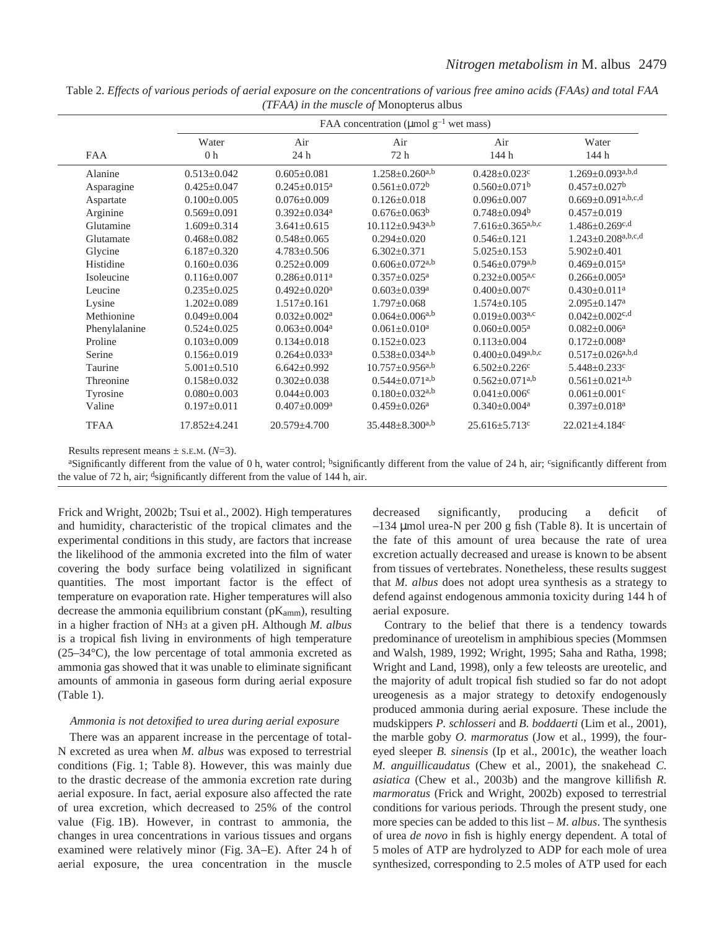|               | FAA concentration ( $\mu$ mol g <sup>-1</sup> wet mass) |                                |                                   |                                                |                                                         |  |  |  |  |
|---------------|---------------------------------------------------------|--------------------------------|-----------------------------------|------------------------------------------------|---------------------------------------------------------|--|--|--|--|
| <b>FAA</b>    | Air<br>Water<br>0 <sub>h</sub><br>24h                   |                                | Air<br>72 h                       | Air<br>144 h                                   | Water<br>144 h                                          |  |  |  |  |
| Alanine       | $0.513 \pm 0.042$                                       | $0.605 \pm 0.081$              | $1.258 \pm 0.260^{a,b}$           | $0.428 \pm 0.023$ c                            | $1.269 \pm 0.093$ a,b,d                                 |  |  |  |  |
| Asparagine    | $0.425 \pm 0.047$                                       | $0.245 \pm 0.015^a$            | $0.561 \pm 0.072$ <sup>b</sup>    | $0.560 \pm 0.071$ <sup>b</sup>                 | $0.457 \pm 0.027$ <sup>b</sup>                          |  |  |  |  |
| Aspartate     | $0.100 \pm 0.005$                                       | $0.076 + 0.009$                | $0.126 + 0.018$                   | $0.096 + 0.007$                                | $0.669 \pm 0.091^{\text{a},\text{b},\text{c},\text{d}}$ |  |  |  |  |
| Arginine      | $0.569 \pm 0.091$                                       | $0.392 \pm 0.034$ <sup>a</sup> | $0.676 \pm 0.063^b$               | $0.748 \pm 0.094^b$                            | $0.457 \pm 0.019$                                       |  |  |  |  |
| Glutamine     | $1.609 \pm 0.314$                                       | $3.641 \pm 0.615$              | $10.112 \pm 0.943^{a,b}$          | $7.616 \pm 0.365$ a,b,c                        | $1.486 \pm 0.269$ c,d                                   |  |  |  |  |
| Glutamate     | $0.468 \pm 0.082$                                       | $0.548 \pm 0.065$              | $0.294 \pm 0.020$                 | $0.546 \pm 0.121$                              | $1.243 \pm 0.208$ a,b,c,d                               |  |  |  |  |
| Glycine       | $6.187 \pm 0.320$                                       | $4.783 \pm 0.506$              | $6.302 \pm 0.371$                 | $5.025 \pm 0.153$                              | $5.902 \pm 0.401$                                       |  |  |  |  |
| Histidine     | $0.160 \pm 0.036$                                       | $0.252 \pm 0.009$              | $0.606 \pm 0.072$ <sup>a,b</sup>  | $0.546 \pm 0.079$ <sup>a,b</sup>               | $0.469 \pm 0.015$ <sup>a</sup>                          |  |  |  |  |
| Isoleucine    | $0.116 \pm 0.007$                                       | $0.286 + 0.011a$               | $0.357 \pm 0.025$ <sup>a</sup>    | $0.232+0.005^{a,c}$                            | $0.266 \pm 0.005^a$                                     |  |  |  |  |
| Leucine       | $0.235 \pm 0.025$                                       | $0.492 \pm 0.020$ <sup>a</sup> | $0.603 \pm 0.039$ <sup>a</sup>    | $0.400 \pm 0.007$ c                            | $0.430 \pm 0.011$ <sup>a</sup>                          |  |  |  |  |
| Lysine        | $1.202 \pm 0.089$                                       | $1.517 \pm 0.161$              | $1.797 \pm 0.068$                 | $1.574 \pm 0.105$                              | $2.095 \pm 0.147$ <sup>a</sup>                          |  |  |  |  |
| Methionine    | $0.049 \pm 0.004$                                       | $0.032 \pm 0.002^a$            | $0.064 \pm 0.006^{a,b}$           | $0.019 + 0.003$ <sup>a,c</sup>                 | $0.042 \pm 0.002$ c,d                                   |  |  |  |  |
| Phenylalanine | $0.524 \pm 0.025$                                       | $0.063 \pm 0.004$ <sup>a</sup> | $0.061 \pm 0.010^a$               | $0.060 \pm 0.005$ <sup>a</sup>                 | $0.082 \pm 0.006^a$                                     |  |  |  |  |
| Proline       | $0.103 \pm 0.009$                                       | $0.134 \pm 0.018$              | $0.152 \pm 0.023$                 | $0.113 \pm 0.004$                              | $0.172 \pm 0.008$ <sup>a</sup>                          |  |  |  |  |
| Serine        | $0.156 \pm 0.019$                                       | $0.264 \pm 0.033$ <sup>a</sup> | $0.538 \pm 0.034$ <sup>a,b</sup>  | $0.400 \pm 0.049^{\text{a},\text{b},\text{c}}$ | $0.517 \pm 0.026$ <sup>a,b,d</sup>                      |  |  |  |  |
| Taurine       | $5.001 \pm 0.510$                                       | $6.642 \pm 0.992$              | $10.757 \pm 0.956$ <sup>a,b</sup> | $6.502 \pm 0.226$ c                            | $5.448 \pm 0.233$ °                                     |  |  |  |  |
| Threonine     | $0.158 \pm 0.032$                                       | $0.302 \pm 0.038$              | $0.544 \pm 0.071$ <sup>a,b</sup>  | $0.562 \pm 0.071$ <sup>a,b</sup>               | $0.561 \pm 0.021$ <sup>a,b</sup>                        |  |  |  |  |
| Tyrosine      | $0.080 \pm 0.003$                                       | $0.044 \pm 0.003$              | $0.180 \pm 0.032$ <sup>a,b</sup>  | $0.041 \pm 0.006$ <sup>c</sup>                 | $0.061 \pm 0.001$ <sup>c</sup>                          |  |  |  |  |
| Valine        | $0.197 \pm 0.011$                                       | $0.407 \pm 0.009$ <sup>a</sup> | $0.459 \pm 0.026$ <sup>a</sup>    | $0.340 \pm 0.004$ <sup>a</sup>                 | $0.397 \pm 0.018$ <sup>a</sup>                          |  |  |  |  |
| <b>TFAA</b>   | $17.852 \pm 4.241$                                      | $20.579 \pm 4.700$             | $35.448 \pm 8.300^{a,b}$          | $25.616 \pm 5.713$ °                           | $22.021 \pm 4.184$ <sup>c</sup>                         |  |  |  |  |

Table 2. *Effects of various periods of aerial exposure on the concentrations of various free amino acids (FAAs) and total FAA (TFAA) in the muscle of* Monopterus albus

Results represent means  $\pm$  s.E.M. ( $N=3$ ).

<sup>a</sup>Significantly different from the value of 0 h, water control; <sup>b</sup>significantly different from the value of 24 h, air; <sup>c</sup>significantly different from the value of 72 h, air; dsignificantly different from the value of 144 h, air.

Frick and Wright, 2002b; Tsui et al., 2002). High temperatures and humidity, characteristic of the tropical climates and the experimental conditions in this study, are factors that increase the likelihood of the ammonia excreted into the film of water covering the body surface being volatilized in significant quantities. The most important factor is the effect of temperature on evaporation rate. Higher temperatures will also decrease the ammonia equilibrium constant ( $pK_{amm}$ ), resulting in a higher fraction of NH3 at a given pH. Although *M. albus* is a tropical fish living in environments of high temperature (25–34°C), the low percentage of total ammonia excreted as ammonia gas showed that it was unable to eliminate significant amounts of ammonia in gaseous form during aerial exposure  $(Table 1).$ 

#### *Ammonia is not detoxified to urea during aerial exposure*

There was an apparent increase in the percentage of total-N excreted as urea when *M. albus* was exposed to terrestrial conditions (Fig. 1; Table 8). However, this was mainly due to the drastic decrease of the ammonia excretion rate during aerial exposure. In fact, aerial exposure also affected the rate of urea excretion, which decreased to 25% of the control value (Fig. 1B). However, in contrast to ammonia, the changes in urea concentrations in various tissues and organs examined were relatively minor (Fig. 3A–E). After 24 h of aerial exposure, the urea concentration in the muscle

decreased significantly, producing a deficit of  $-134$  µmol urea-N per 200 g fish (Table 8). It is uncertain of the fate of this amount of urea because the rate of urea excretion actually decreased and urease is known to be absent from tissues of vertebrates. Nonetheless, these results suggest that *M. albus* does not adopt urea synthesis as a strategy to defend against endogenous ammonia toxicity during 144 h of aerial exposure.

Contrary to the belief that there is a tendency towards predominance of ureotelism in amphibious species (Mommsen and Walsh, 1989, 1992; Wright, 1995; Saha and Ratha, 1998; Wright and Land, 1998), only a few teleosts are ureotelic, and the majority of adult tropical fish studied so far do not adopt ureogenesis as a major strategy to detoxify endogenously produced ammonia during aerial exposure. These include the mudskippers *P. schlosseri* and *B. boddaerti* (Lim et al., 2001), the marble goby *O. marmoratus* (Jow et al., 1999), the foureyed sleeper *B. sinensis* (Ip et al., 2001c), the weather loach *M. anguillicaudatus* (Chew et al., 2001), the snakehead *C. asiatica* (Chew et al., 2003b) and the mangrove killifish *R. marmoratus* (Frick and Wright, 2002b) exposed to terrestrial conditions for various periods. Through the present study, one more species can be added to this list – *M. albus*. The synthesis of urea *de novo* in fish is highly energy dependent. A total of 5 moles of ATP are hydrolyzed to ADP for each mole of urea synthesized, corresponding to 2.5 moles of ATP used for each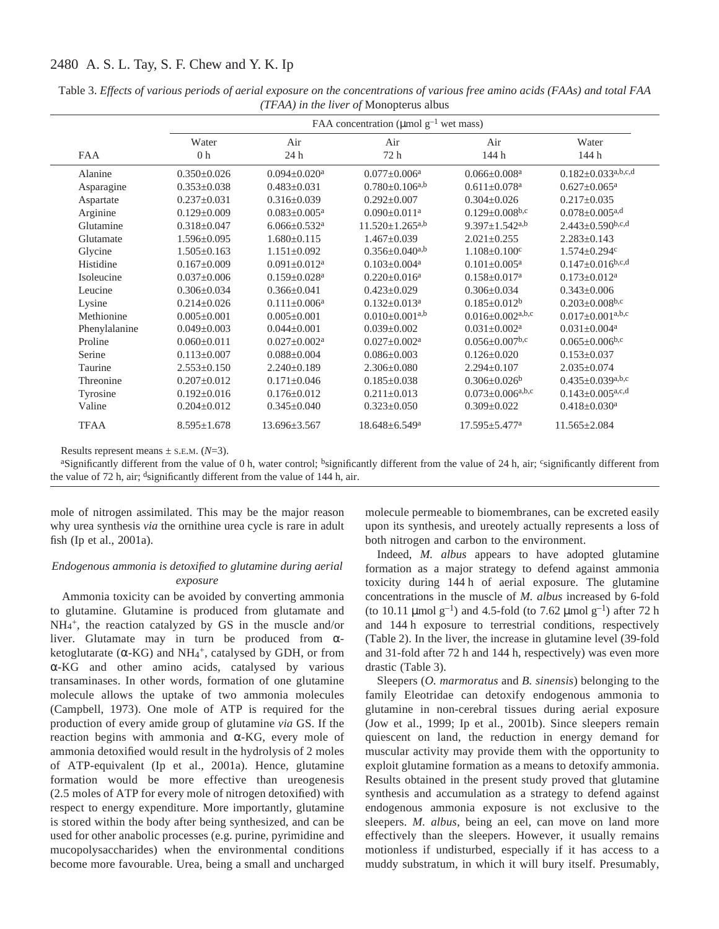|               |                        | FAA concentration ( $\mu$ mol g <sup>-1</sup> wet mass) |                                 |                                    |                                    |  |  |  |  |
|---------------|------------------------|---------------------------------------------------------|---------------------------------|------------------------------------|------------------------------------|--|--|--|--|
|               | Water                  | Air                                                     | Air                             | Air                                | Water                              |  |  |  |  |
| <b>FAA</b>    | 0 <sub>h</sub><br>24 h |                                                         | 72 h                            | 144 h                              | 144 h                              |  |  |  |  |
| Alanine       | $0.350 \pm 0.026$      | $0.094 \pm 0.020$ <sup>a</sup>                          | $0.077 \pm 0.006^a$             | $0.066 \pm 0.008$ <sup>a</sup>     | $0.182 \pm 0.033$ a,b,c,d          |  |  |  |  |
| Asparagine    | $0.353 \pm 0.038$      | $0.483 \pm 0.031$                                       | $0.780 \pm 0.106^{a,b}$         | $0.611 \pm 0.078$ <sup>a</sup>     | $0.627 \pm 0.065$ <sup>a</sup>     |  |  |  |  |
| Aspartate     | $0.237 \pm 0.031$      | $0.316 \pm 0.039$                                       | $0.292 \pm 0.007$               | $0.304 \pm 0.026$                  | $0.217 \pm 0.035$                  |  |  |  |  |
| Arginine      | $0.129 \pm 0.009$      | $0.083 \pm 0.005^a$                                     | $0.090 \pm 0.011$ <sup>a</sup>  | $0.129 \pm 0.008$ b,c              | $0.078 \pm 0.005$ <sup>a,d</sup>   |  |  |  |  |
| Glutamine     | $0.318 \pm 0.047$      | $6.066 \pm 0.532$ <sup>a</sup>                          | $11.520 \pm 1.265^{a,b}$        | $9.397 \pm 1.542$ <sup>a,b</sup>   | $2.443 \pm 0.590$ b,c,d            |  |  |  |  |
| Glutamate     | $1.596 \pm 0.095$      | $1.680 \pm 0.115$                                       | $1.467 \pm 0.039$               | $2.021 \pm 0.255$                  | $2.283 \pm 0.143$                  |  |  |  |  |
| Glycine       | $1.505 \pm 0.163$      | $1.151 \pm 0.092$                                       | $0.356 \pm 0.040^{a,b}$         | $1.108 \pm 0.100$ <sup>c</sup>     | $1.574 \pm 0.294$ c                |  |  |  |  |
| Histidine     | $0.167 \pm 0.009$      | $0.091 \pm 0.012$ <sup>a</sup>                          | $0.103 \pm 0.004$ <sup>a</sup>  | $0.101 \pm 0.005^a$                | $0.147 \pm 0.016^{b,c,d}$          |  |  |  |  |
| Isoleucine    | $0.037 \pm 0.006$      | $0.159 + 0.028$ <sup>a</sup>                            | $0.220 + 0.016^a$               | $0.158 \pm 0.017$ <sup>a</sup>     | $0.173 \pm 0.012^a$                |  |  |  |  |
| Leucine       | $0.306 \pm 0.034$      | $0.366 \pm 0.041$                                       | $0.423 \pm 0.029$               | $0.306 \pm 0.034$                  | $0.343 \pm 0.006$                  |  |  |  |  |
| Lysine        | $0.214 \pm 0.026$      | $0.111 \pm 0.006^a$                                     | $0.132 \pm 0.013$ <sup>a</sup>  | $0.185 \pm 0.012^b$                | $0.203 \pm 0.008$ b,c              |  |  |  |  |
| Methionine    | $0.005 \pm 0.001$      | $0.005 \pm 0.001$                                       | $0.010 \pm 0.001^{a,b}$         | $0.016 \pm 0.002$ <sup>a,b,c</sup> | $0.017 \pm 0.001^{a,b,c}$          |  |  |  |  |
| Phenylalanine | $0.049 \pm 0.003$      | $0.044 \pm 0.001$                                       | $0.039 + 0.002$                 | $0.031 + 0.002a$                   | $0.031 \pm 0.004$ <sup>a</sup>     |  |  |  |  |
| Proline       | $0.060 \pm 0.011$      | $0.027 \pm 0.002^a$                                     | $0.027 \pm 0.002^a$             | $0.056 \pm 0.007$ <sup>b,c</sup>   | $0.065 \pm 0.006$ <sub>b,c</sub>   |  |  |  |  |
| Serine        | $0.113 \pm 0.007$      | $0.088 + 0.004$                                         | $0.086 \pm 0.003$               | $0.126 \pm 0.020$                  | $0.153 \pm 0.037$                  |  |  |  |  |
| Taurine       | $2.553 \pm 0.150$      | $2.240 \pm 0.189$                                       | $2.306 \pm 0.080$               | $2.294 \pm 0.107$                  | $2.035 \pm 0.074$                  |  |  |  |  |
| Threonine     | $0.207 \pm 0.012$      | $0.171 \pm 0.046$                                       | $0.185 \pm 0.038$               | $0.306 \pm 0.026$ <sup>b</sup>     | $0.435 \pm 0.039$ a,b,c            |  |  |  |  |
| Tyrosine      | $0.192 \pm 0.016$      | $0.176 \pm 0.012$                                       | $0.211 \pm 0.013$               | $0.073 \pm 0.006^{a,b,c}$          | $0.143 \pm 0.005$ <sup>a,c,d</sup> |  |  |  |  |
| Valine        | $0.204 \pm 0.012$      | $0.345 \pm 0.040$                                       | $0.323 \pm 0.050$               | $0.309 \pm 0.022$                  | $0.418 \pm 0.030$ <sup>a</sup>     |  |  |  |  |
| <b>TFAA</b>   | $8.595 \pm 1.678$      | $13.696 \pm 3.567$                                      | $18.648 \pm 6.549$ <sup>a</sup> | $17.595 \pm 5.477$ <sup>a</sup>    | $11.565 \pm 2.084$                 |  |  |  |  |

Table 3. *Effects of various periods of aerial exposure on the concentrations of various free amino acids (FAAs) and total FAA (TFAA) in the liver of* Monopterus albus

Results represent means  $\pm$  s.E.M. ( $N=3$ ).

<sup>a</sup>Significantly different from the value of 0 h, water control; <sup>b</sup>significantly different from the value of 24 h, air; significantly different from the value of 72 h, air; dsignificantly different from the value of 144 h, air.

mole of nitrogen assimilated. This may be the major reason why urea synthesis *via* the ornithine urea cycle is rare in adult fish (Ip et al., 2001a).

### *Endogenous ammonia is detoxified to glutamine during aerial exposure*

Ammonia toxicity can be avoided by converting ammonia to glutamine. Glutamine is produced from glutamate and NH4 +, the reaction catalyzed by GS in the muscle and/or liver. Glutamate may in turn be produced from αketoglutarate ( $\alpha$ -KG) and NH<sub>4</sub><sup>+</sup>, catalysed by GDH, or from α-KG and other amino acids, catalysed by various transaminases. In other words, formation of one glutamine molecule allows the uptake of two ammonia molecules (Campbell, 1973). One mole of ATP is required for the production of every amide group of glutamine *via* GS. If the reaction begins with ammonia and α-KG, every mole of ammonia detoxified would result in the hydrolysis of 2 moles of ATP-equivalent (Ip et al., 2001a). Hence, glutamine formation would be more effective than ureogenesis (2.5 moles of ATP for every mole of nitrogen detoxified) with respect to energy expenditure. More importantly, glutamine is stored within the body after being synthesized, and can be used for other anabolic processes (e.g. purine, pyrimidine and mucopolysaccharides) when the environmental conditions become more favourable. Urea, being a small and uncharged

molecule permeable to biomembranes, can be excreted easily upon its synthesis, and ureotely actually represents a loss of both nitrogen and carbon to the environment.

Indeed, *M. albus* appears to have adopted glutamine formation as a major strategy to defend against ammonia toxicity during 144 h of aerial exposure. The glutamine concentrations in the muscle of *M. albus* increased by 6-fold (to 10.11  $\mu$ mol g<sup>-1</sup>) and 4.5-fold (to 7.62  $\mu$ mol g<sup>-1</sup>) after 72 h and 144 h exposure to terrestrial conditions, respectively (Table 2). In the liver, the increase in glutamine level (39-fold and 31-fold after 72 h and 144 h, respectively) was even more drastic (Table 3).

Sleepers (*O. marmoratus* and *B. sinensis*) belonging to the family Eleotridae can detoxify endogenous ammonia to glutamine in non-cerebral tissues during aerial exposure (Jow et al., 1999; Ip et al., 2001b). Since sleepers remain quiescent on land, the reduction in energy demand for muscular activity may provide them with the opportunity to exploit glutamine formation as a means to detoxify ammonia. Results obtained in the present study proved that glutamine synthesis and accumulation as a strategy to defend against endogenous ammonia exposure is not exclusive to the sleepers. *M. albus*, being an eel, can move on land more effectively than the sleepers. However, it usually remains motionless if undisturbed, especially if it has access to a muddy substratum, in which it will bury itself. Presumably,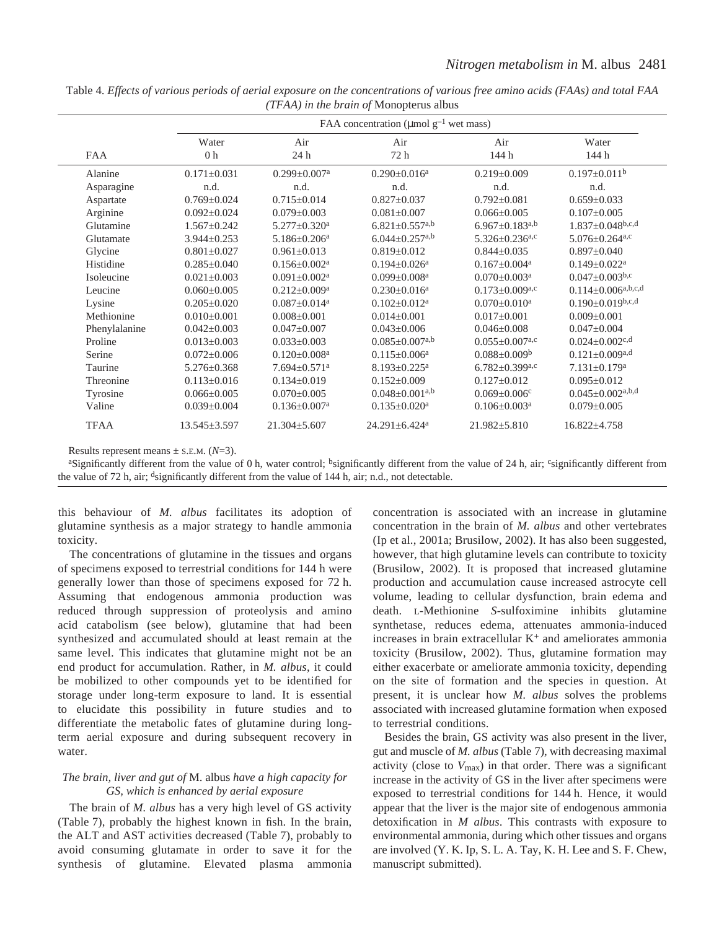|               | FAA concentration ( $\mu$ mol g <sup>-1</sup> wet mass) |                                |                                  |                                  |                                    |  |  |  |  |
|---------------|---------------------------------------------------------|--------------------------------|----------------------------------|----------------------------------|------------------------------------|--|--|--|--|
| <b>FAA</b>    | Water<br>0 <sub>h</sub>                                 |                                | Air<br>72 h                      | Air<br>144 h                     | Water<br>144 h                     |  |  |  |  |
| Alanine       | $0.171 \pm 0.031$                                       | $0.299 \pm 0.007$ <sup>a</sup> | $0.290 \pm 0.016^a$              | $0.219 \pm 0.009$                | $0.197 \pm 0.011^b$                |  |  |  |  |
| Asparagine    | n.d.                                                    | n.d.                           | n.d.                             | n.d.                             | n.d.                               |  |  |  |  |
| Aspartate     | $0.769 \pm 0.024$                                       | $0.715+0.014$                  | $0.827 \pm 0.037$                | $0.792 \pm 0.081$                | $0.659 \pm 0.033$                  |  |  |  |  |
| Arginine      | $0.092 \pm 0.024$                                       | $0.079 \pm 0.003$              | $0.081 \pm 0.007$                | $0.066 \pm 0.005$                | $0.107 \pm 0.005$                  |  |  |  |  |
| Glutamine     | $1.567 \pm 0.242$                                       | $5.277 \pm 0.320$ <sup>a</sup> | $6.821 \pm 0.557$ <sup>a,b</sup> | $6.967 \pm 0.183^{a,b}$          | $1.837 \pm 0.048$ b,c,d            |  |  |  |  |
| Glutamate     | $3.944 \pm 0.253$                                       | $5.186 \pm 0.206^a$            | $6.044 \pm 0.257$ <sup>a,b</sup> | $5.326 \pm 0.236$ <sup>a,c</sup> | $5.076 \pm 0.264$ <sup>a,c</sup>   |  |  |  |  |
| Glycine       | $0.801 \pm 0.027$                                       | $0.961 \pm 0.013$              | $0.819 \pm 0.012$                | $0.844 \pm 0.035$                | $0.897 \pm 0.040$                  |  |  |  |  |
| Histidine     | $0.285 \pm 0.040$                                       | $0.156 \pm 0.002$ <sup>a</sup> | $0.194 \pm 0.026^a$              | $0.167 \pm 0.004$ <sup>a</sup>   | $0.149 \pm 0.022$ <sup>a</sup>     |  |  |  |  |
| Isoleucine    | $0.021 \pm 0.003$                                       | $0.091 \pm 0.002^a$            | $0.099 + 0.008a$                 | $0.070 \pm 0.003$ <sup>a</sup>   | $0.047 \pm 0.003^{b,c}$            |  |  |  |  |
| Leucine       | $0.060 \pm 0.005$                                       | $0.212 \pm 0.009^a$            | $0.230 \pm 0.016^a$              | $0.173 \pm 0.009$ a,c            | $0.114 \pm 0.006^{a,b,c,d}$        |  |  |  |  |
| Lysine        | $0.205 \pm 0.020$                                       | $0.087 \pm 0.014$ <sup>a</sup> | $0.102 \pm 0.012$ <sup>a</sup>   | $0.070 \pm 0.010^a$              | $0.190 \pm 0.019^{b,c,d}$          |  |  |  |  |
| Methionine    | $0.010 \pm 0.001$                                       | $0.008 \pm 0.001$              | $0.014 \pm 0.001$                | $0.017 \pm 0.001$                | $0.009 + 0.001$                    |  |  |  |  |
| Phenylalanine | $0.042 \pm 0.003$                                       | $0.047 \pm 0.007$              | $0.043 \pm 0.006$                | $0.046 \pm 0.008$                | $0.047 \pm 0.004$                  |  |  |  |  |
| Proline       | $0.013 \pm 0.003$                                       | $0.033 \pm 0.003$              | $0.085 \pm 0.007$ <sup>a,b</sup> | $0.055 \pm 0.007$ <sup>a,c</sup> | $0.024 \pm 0.002$ <sup>c,d</sup>   |  |  |  |  |
| Serine        | $0.072 \pm 0.006$                                       | $0.120 \pm 0.008$ <sup>a</sup> | $0.115 \pm 0.006^a$              | $0.088 \pm 0.009^b$              | $0.121 \pm 0.009^{a,d}$            |  |  |  |  |
| Taurine       | $5.276 \pm 0.368$                                       | $7.694 \pm 0.571$ <sup>a</sup> | $8.193 \pm 0.225$ <sup>a</sup>   | $6.782 \pm 0.399$ a,c            | $7.131 \pm 0.179$ <sup>a</sup>     |  |  |  |  |
| Threonine     | $0.113 \pm 0.016$                                       | $0.134 \pm 0.019$              | $0.152 \pm 0.009$                | $0.127 \pm 0.012$                | $0.095 \pm 0.012$                  |  |  |  |  |
| Tyrosine      | $0.066 \pm 0.005$                                       | $0.070 \pm 0.005$              | $0.048 \pm 0.001^{a,b}$          | $0.069 \pm 0.006$ <sup>c</sup>   | $0.045 \pm 0.002$ <sup>a,b,d</sup> |  |  |  |  |
| Valine        | $0.039 \pm 0.004$                                       | $0.136 \pm 0.007$ <sup>a</sup> | $0.135 \pm 0.020$ <sup>a</sup>   | $0.106 \pm 0.003$ <sup>a</sup>   | $0.079 \pm 0.005$                  |  |  |  |  |
| <b>TFAA</b>   | $13.545 \pm 3.597$                                      | $21.304 \pm 5.607$             | $24.291 \pm 6.424$ <sup>a</sup>  | $21.982 \pm 5.810$               | $16.822 \pm 4.758$                 |  |  |  |  |

Table 4. *Effects of various periods of aerial exposure on the concentrations of various free amino acids (FAAs) and total FAA (TFAA) in the brain of* Monopterus albus

Results represent means  $\pm$  s.E.M. ( $N=3$ ).

<sup>a</sup>Significantly different from the value of 0 h, water control; <sup>b</sup>significantly different from the value of 24 h, air; <sup>c</sup>significantly different from the value of 72 h, air; dsignificantly different from the value of 144 h, air; n.d., not detectable.

this behaviour of *M. albus* facilitates its adoption of glutamine synthesis as a major strategy to handle ammonia toxicity.

The concentrations of glutamine in the tissues and organs of specimens exposed to terrestrial conditions for 144 h were generally lower than those of specimens exposed for 72 h. Assuming that endogenous ammonia production was reduced through suppression of proteolysis and amino acid catabolism (see below), glutamine that had been synthesized and accumulated should at least remain at the same level. This indicates that glutamine might not be an end product for accumulation. Rather, in *M. albus*, it could be mobilized to other compounds yet to be identified for storage under long-term exposure to land. It is essential to elucidate this possibility in future studies and to differentiate the metabolic fates of glutamine during longterm aerial exposure and during subsequent recovery in water.

## *The brain, liver and gut of* M. albus *have a high capacity for GS, which is enhanced by aerial exposure*

The brain of *M. albus* has a very high level of GS activity (Table 7), probably the highest known in fish. In the brain, the ALT and AST activities decreased (Table·7), probably to avoid consuming glutamate in order to save it for the synthesis of glutamine. Elevated plasma ammonia

concentration is associated with an increase in glutamine concentration in the brain of *M. albus* and other vertebrates (Ip et al., 2001a; Brusilow, 2002). It has also been suggested, however, that high glutamine levels can contribute to toxicity (Brusilow, 2002). It is proposed that increased glutamine production and accumulation cause increased astrocyte cell volume, leading to cellular dysfunction, brain edema and death. L-Methionine *S*-sulfoximine inhibits glutamine synthetase, reduces edema, attenuates ammonia-induced increases in brain extracellular  $K^+$  and ameliorates ammonia toxicity (Brusilow, 2002). Thus, glutamine formation may either exacerbate or ameliorate ammonia toxicity, depending on the site of formation and the species in question. At present, it is unclear how *M. albus* solves the problems associated with increased glutamine formation when exposed to terrestrial conditions.

Besides the brain, GS activity was also present in the liver, gut and muscle of *M. albus* (Table·7), with decreasing maximal activity (close to *V*max) in that order. There was a significant increase in the activity of GS in the liver after specimens were exposed to terrestrial conditions for 144 h. Hence, it would appear that the liver is the major site of endogenous ammonia detoxification in *M albus*. This contrasts with exposure to environmental ammonia, during which other tissues and organs are involved (Y. K. Ip, S. L. A. Tay, K. H. Lee and S. F. Chew, manuscript submitted).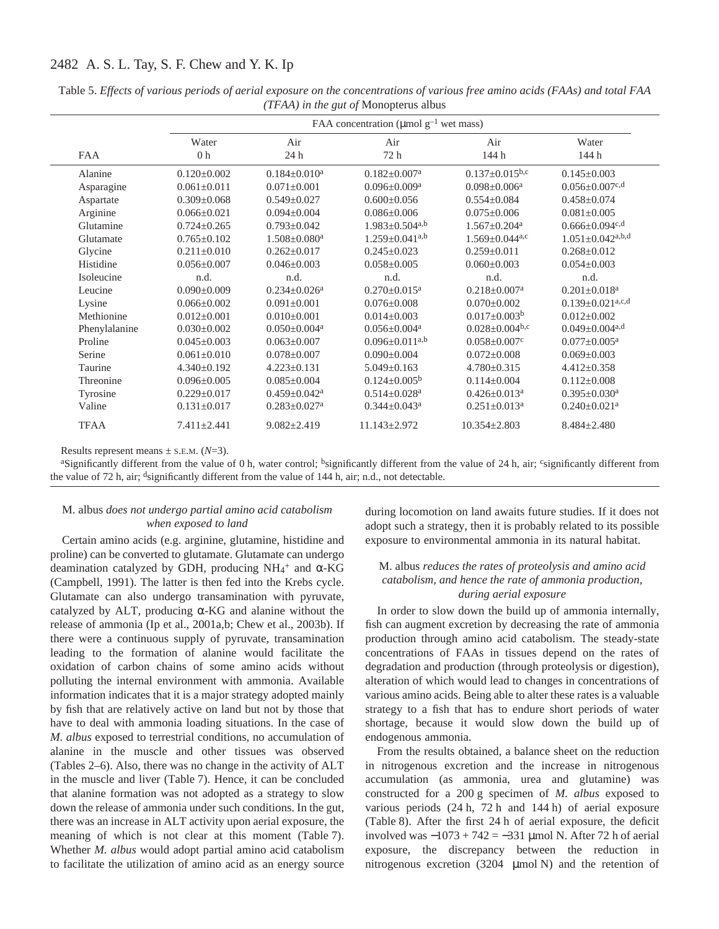|               | FAA concentration ( $\mu$ mol g <sup>-1</sup> wet mass) |                                |                                  |                                  |                                    |  |  |  |
|---------------|---------------------------------------------------------|--------------------------------|----------------------------------|----------------------------------|------------------------------------|--|--|--|
| <b>FAA</b>    | Air<br>Water<br>0 <sub>h</sub><br>24h                   |                                | Air<br>72 h                      | Air<br>144 h                     | Water<br>144 h                     |  |  |  |
| Alanine       | $0.120 \pm 0.002$                                       | $0.184 + 0.010a$               | $0.182 \pm 0.007$ <sup>a</sup>   | $0.137 \pm 0.015$ <sup>b,c</sup> | $0.145 \pm 0.003$                  |  |  |  |
| Asparagine    | $0.061 \pm 0.011$                                       | $0.071 \pm 0.001$              | $0.096 \pm 0.009^a$              | $0.098 \pm 0.006^a$              | $0.056 \pm 0.007$ <sup>c,d</sup>   |  |  |  |
| Aspartate     | $0.309 \pm 0.068$                                       | $0.549 + 0.027$                | $0.600+0.056$                    | $0.554 \pm 0.084$                | $0.458 \pm 0.074$                  |  |  |  |
| Arginine      | $0.066 \pm 0.021$                                       | $0.094 \pm 0.004$              | $0.086 \pm 0.006$                | $0.075 \pm 0.006$                | $0.081 \pm 0.005$                  |  |  |  |
| Glutamine     | $0.724 \pm 0.265$                                       | $0.793 \pm 0.042$              | $1.983 \pm 0.504$ <sup>a,b</sup> | $1.567 \pm 0.204$ <sup>a</sup>   | $0.666 \pm 0.094$ <sup>c,d</sup>   |  |  |  |
| Glutamate     | $0.765 \pm 0.102$                                       | $1.508 \pm 0.080$ <sup>a</sup> | $1.259 \pm 0.041^{a,b}$          | $1.569 \pm 0.044$ <sup>a,c</sup> | $1.051 \pm 0.042^{a,b,d}$          |  |  |  |
| Glycine       | $0.211 \pm 0.010$                                       | $0.262 \pm 0.017$              | $0.245 \pm 0.023$                | $0.259 \pm 0.011$                | $0.268 \pm 0.012$                  |  |  |  |
| Histidine     | $0.056 \pm 0.007$                                       | $0.046 \pm 0.003$              | $0.058 \pm 0.005$                | $0.060 \pm 0.003$                | $0.054 \pm 0.003$                  |  |  |  |
| Isoleucine    | n.d.                                                    | n.d.                           | n.d.                             | n.d.                             | n.d.                               |  |  |  |
| Leucine       | $0.090 \pm 0.009$                                       | $0.234 \pm 0.026$ <sup>a</sup> | $0.270 \pm 0.015$ <sup>a</sup>   | $0.218 \pm 0.007$ <sup>a</sup>   | $0.201 \pm 0.018$ <sup>a</sup>     |  |  |  |
| Lysine        | $0.066 \pm 0.002$                                       | $0.091 \pm 0.001$              | $0.076 \pm 0.008$                | $0.070 \pm 0.002$                | $0.139 \pm 0.021$ <sup>a,c,d</sup> |  |  |  |
| Methionine    | $0.012 \pm 0.001$                                       | $0.010 \pm 0.001$              | $0.014 \pm 0.003$                | $0.017 \pm 0.003^b$              | $0.012 \pm 0.002$                  |  |  |  |
| Phenylalanine | $0.030 \pm 0.002$                                       | $0.050 \pm 0.004$ <sup>a</sup> | $0.056 \pm 0.004$ <sup>a</sup>   | $0.028 \pm 0.004$ <sub>b,c</sub> | $0.049 \pm 0.004$ <sup>a,d</sup>   |  |  |  |
| Proline       | $0.045 \pm 0.003$                                       | $0.063 \pm 0.007$              | $0.096 \pm 0.011^{a,b}$          | $0.058 \pm 0.007$ c              | $0.077 \pm 0.005^{\text{a}}$       |  |  |  |
| Serine        | $0.061 \pm 0.010$                                       | $0.078 \pm 0.007$              | $0.090 \pm 0.004$                | $0.072 \pm 0.008$                | $0.069 \pm 0.003$                  |  |  |  |
| Taurine       | $4.340 \pm 0.192$                                       | $4.223 \pm 0.131$              | $5.049 \pm 0.163$                | $4.780 \pm 0.315$                | $4.412 \pm 0.358$                  |  |  |  |
| Threonine     | $0.096 \pm 0.005$                                       | $0.085 \pm 0.004$              | $0.124 \pm 0.005^b$              | $0.114 \pm 0.004$                | $0.112 \pm 0.008$                  |  |  |  |
| Tyrosine      | $0.229 \pm 0.017$                                       | $0.459 \pm 0.042$ <sup>a</sup> | $0.514 \pm 0.028$ <sup>a</sup>   | $0.426 \pm 0.013$ <sup>a</sup>   | $0.395 \pm 0.030$ <sup>a</sup>     |  |  |  |
| Valine        | $0.131 \pm 0.017$                                       | $0.283 \pm 0.027$ <sup>a</sup> | $0.344 \pm 0.043$ <sup>a</sup>   | $0.251 \pm 0.013$ <sup>a</sup>   | $0.240 \pm 0.021$ <sup>a</sup>     |  |  |  |
| <b>TFAA</b>   | $7.411 \pm 2.441$                                       | $9.082 \pm 2.419$              | $11.143 \pm 2.972$               | $10.354 \pm 2.803$               | $8.484 \pm 2.480$                  |  |  |  |

Table 5. *Effects of various periods of aerial exposure on the concentrations of various free amino acids (FAAs) and total FAA (TFAA) in the gut of* Monopterus albus

Results represent means  $\pm$  s.E.M. ( $N=3$ ).

<sup>a</sup>Significantly different from the value of 0 h, water control; <sup>b</sup>significantly different from the value of 24 h, air; <sup>c</sup>significantly different from the value of 72 h, air; dsignificantly different from the value of 144 h, air; n.d., not detectable.

### M. albus *does not undergo partial amino acid catabolism when exposed to land*

Certain amino acids (e.g. arginine, glutamine, histidine and proline) can be converted to glutamate. Glutamate can undergo deamination catalyzed by GDH, producing NH<sub>4</sub><sup>+</sup> and α-KG (Campbell, 1991). The latter is then fed into the Krebs cycle. Glutamate can also undergo transamination with pyruvate, catalyzed by ALT, producing  $\alpha$ -KG and alanine without the release of ammonia (Ip et al., 2001a,b; Chew et al., 2003b). If there were a continuous supply of pyruvate, transamination leading to the formation of alanine would facilitate the oxidation of carbon chains of some amino acids without polluting the internal environment with ammonia. Available information indicates that it is a major strategy adopted mainly by fish that are relatively active on land but not by those that have to deal with ammonia loading situations. In the case of *M. albus* exposed to terrestrial conditions, no accumulation of alanine in the muscle and other tissues was observed (Tables  $2-6$ ). Also, there was no change in the activity of  $ALT$ in the muscle and liver (Table 7). Hence, it can be concluded that alanine formation was not adopted as a strategy to slow down the release of ammonia under such conditions. In the gut, there was an increase in ALT activity upon aerial exposure, the meaning of which is not clear at this moment (Table 7). Whether *M. albus* would adopt partial amino acid catabolism to facilitate the utilization of amino acid as an energy source

during locomotion on land awaits future studies. If it does not adopt such a strategy, then it is probably related to its possible exposure to environmental ammonia in its natural habitat.

### M. albus *reduces the rates of proteolysis and amino acid catabolism, and hence the rate of ammonia production, during aerial exposure*

In order to slow down the build up of ammonia internally, fish can augment excretion by decreasing the rate of ammonia production through amino acid catabolism. The steady-state concentrations of FAAs in tissues depend on the rates of degradation and production (through proteolysis or digestion), alteration of which would lead to changes in concentrations of various amino acids. Being able to alter these rates is a valuable strategy to a fish that has to endure short periods of water shortage, because it would slow down the build up of endogenous ammonia.

From the results obtained, a balance sheet on the reduction in nitrogenous excretion and the increase in nitrogenous accumulation (as ammonia, urea and glutamine) was constructed for a 200 g specimen of *M. albus* exposed to various periods  $(24 h, 72 h$  and  $144 h$ ) of aerial exposure (Table 8). After the first  $24$  h of aerial exposure, the deficit involved was  $-1073 + 742 = -331$  µmol N. After 72 h of aerial exposure, the discrepancy between the reduction in nitrogenous excretion  $(3204 \mu mol)$  and the retention of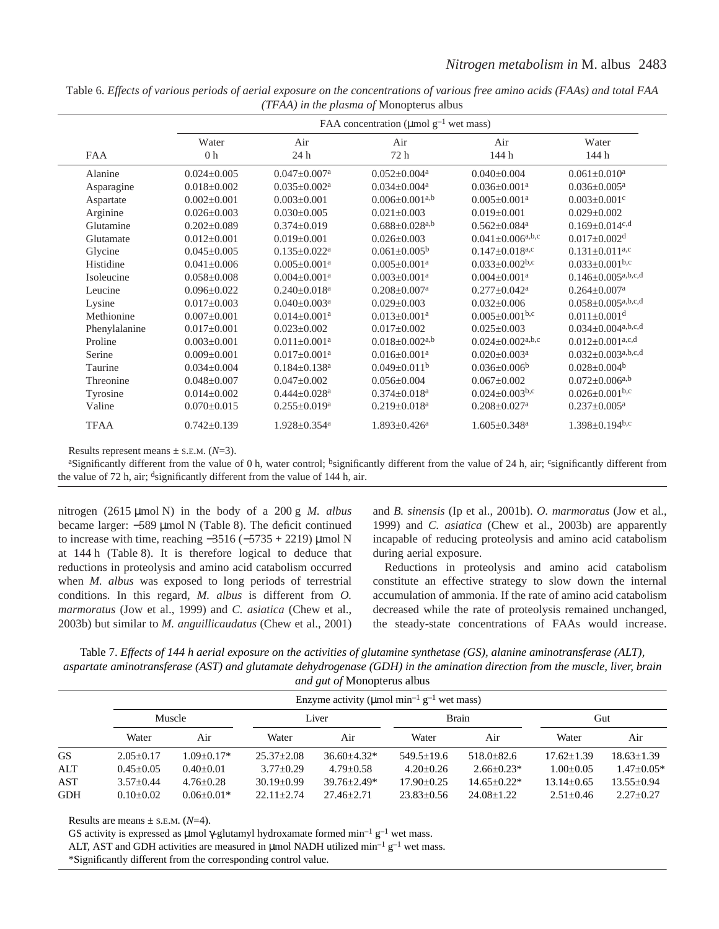|               |                         |                                | FAA concentration ( $\mu$ mol g <sup>-1</sup> wet mass) |                                    |                                                         |  |  |
|---------------|-------------------------|--------------------------------|---------------------------------------------------------|------------------------------------|---------------------------------------------------------|--|--|
| FAA           | Water<br>0 <sub>h</sub> |                                | Air<br>72 h                                             | Air<br>144 h                       | Water<br>144 h                                          |  |  |
| Alanine       | $0.024 \pm 0.005$       | $0.047 \pm 0.007$ <sup>a</sup> | $0.052 \pm 0.004$ <sup>a</sup>                          | $0.040 \pm 0.004$                  | $0.061 \pm 0.010^a$                                     |  |  |
| Asparagine    | $0.018 \pm 0.002$       | $0.035 \pm 0.002^a$            | $0.034 \pm 0.004$ <sup>a</sup>                          | $0.036 \pm 0.001$ <sup>a</sup>     | $0.036 \pm 0.005^{\text{a}}$                            |  |  |
| Aspartate     | $0.002 \pm 0.001$       | $0.003 \pm 0.001$              | $0.006 \pm 0.001^{a,b}$                                 | $0.005 + 0.001a$                   | $0.003 \pm 0.001$ <sup>c</sup>                          |  |  |
| Arginine      | $0.026 \pm 0.003$       | $0.030 \pm 0.005$              | $0.021 \pm 0.003$                                       | $0.019 \pm 0.001$                  | $0.029 \pm 0.002$                                       |  |  |
| Glutamine     | $0.202 \pm 0.089$       | $0.374 \pm 0.019$              | $0.688 \pm 0.028$ <sup>a,b</sup>                        | $0.562 \pm 0.084$ <sup>a</sup>     | $0.169 \pm 0.014$ c,d                                   |  |  |
| Glutamate     | $0.012 \pm 0.001$       | $0.019 \pm 0.001$              | $0.026 \pm 0.003$                                       | $0.041 \pm 0.006^{a,b,c}$          | $0.017 \pm 0.002$ <sup>d</sup>                          |  |  |
| Glycine       | $0.045 \pm 0.005$       | $0.135 \pm 0.022$ <sup>a</sup> | $0.061 \pm 0.005^{\rm b}$                               | $0.147+0.018$ a,c                  | $0.131 \pm 0.011$ <sup>a,c</sup>                        |  |  |
| Histidine     | $0.041 \pm 0.006$       | $0.005 \pm 0.001$ <sup>a</sup> | $0.005 \pm 0.001$ <sup>a</sup>                          | $0.033 \pm 0.002$ <sup>b,c</sup>   | $0.033 \pm 0.001$ <sub>b,c</sub>                        |  |  |
| Isoleucine    | $0.058 \pm 0.008$       | $0.004 + 0.001a$               | $0.003 + 0.001a$                                        | $0.004 + 0.001a$                   | $0.146 \pm 0.005^{a,b,c,d}$                             |  |  |
| Leucine       | $0.096 \pm 0.022$       | $0.240 \pm 0.018$ <sup>a</sup> | $0.208 \pm 0.007$ <sup>a</sup>                          | $0.277 \pm 0.042^a$                | $0.264 \pm 0.007$ <sup>a</sup>                          |  |  |
| Lysine        | $0.017 \pm 0.003$       | $0.040 \pm 0.003$ <sup>a</sup> | $0.029 \pm 0.003$                                       | $0.032 \pm 0.006$                  | $0.058 \pm 0.005^{\text{a},\text{b},\text{c},\text{d}}$ |  |  |
| Methionine    | $0.007 \pm 0.001$       | $0.014 \pm 0.001$ <sup>a</sup> | $0.013 \pm 0.001$ <sup>a</sup>                          | $0.005 \pm 0.001$ <sub>b,c</sub>   | $0.011 \pm 0.001$ <sup>d</sup>                          |  |  |
| Phenylalanine | $0.017 \pm 0.001$       | $0.023 + 0.002$                | $0.017 + 0.002$                                         | $0.025 \pm 0.003$                  | $0.034 \pm 0.004$ a,b,c,d                               |  |  |
| Proline       | $0.003 \pm 0.001$       | $0.011 \pm 0.001$ <sup>a</sup> | $0.018 \pm 0.002$ <sup>a,b</sup>                        | $0.024 \pm 0.002$ <sup>a,b,c</sup> | $0.012 \pm 0.001$ a,c,d                                 |  |  |
| Serine        | $0.009 \pm 0.001$       | $0.017 \pm 0.001$ <sup>a</sup> | $0.016 + 0.001a$                                        | $0.020 + 0.003a$                   | $0.032 \pm 0.003^{a,b,c,d}$                             |  |  |
| Taurine       | $0.034 \pm 0.004$       | $0.184 \pm 0.138$ <sup>a</sup> | $0.049 \pm 0.011^b$                                     | $0.036 \pm 0.006^b$                | $0.028 \pm 0.004^b$                                     |  |  |
| Threonine     | $0.048 \pm 0.007$       | $0.047 \pm 0.002$              | $0.056 \pm 0.004$                                       | $0.067 \pm 0.002$                  | $0.072 \pm 0.006^{a,b}$                                 |  |  |
| Tyrosine      | $0.014 \pm 0.002$       | $0.444 \pm 0.028$ <sup>a</sup> | $0.374 \pm 0.018$ <sup>a</sup>                          | $0.024 \pm 0.003$ <sup>b,c</sup>   | $0.026 \pm 0.001$ <sub>b,c</sub>                        |  |  |
| Valine        | $0.070 \pm 0.015$       | $0.255 \pm 0.019^a$            | $0.219 \pm 0.018$ <sup>a</sup>                          | $0.208 \pm 0.027$ <sup>a</sup>     | $0.237 \pm 0.005^{\text{a}}$                            |  |  |
| <b>TFAA</b>   | $0.742 \pm 0.139$       | $1.928 \pm 0.354$ <sup>a</sup> | $1.893 \pm 0.426^a$                                     | $1.605 \pm 0.348$ <sup>a</sup>     | $1.398 \pm 0.194$ <sup>b,c</sup>                        |  |  |

Table 6. *Effects of various periods of aerial exposure on the concentrations of various free amino acids (FAAs) and total FAA (TFAA) in the plasma of* Monopterus albus

Results represent means  $\pm$  s.E.M. ( $N=3$ ).

<sup>a</sup>Significantly different from the value of 0 h, water control; <sup>b</sup>significantly different from the value of 24 h, air; <sup>c</sup>significantly different from the value of 72 h, air; dsignificantly different from the value of 144 h, air.

nitrogen  $(2615 \mu \text{mol N})$  in the body of a 200 g *M. albus* became larger: −589 µmol N (Table 8). The deficit continued to increase with time, reaching  $-3516$  ( $-5735 + 2219$ ) µmol N at 144 h (Table 8). It is therefore logical to deduce that reductions in proteolysis and amino acid catabolism occurred when *M. albus* was exposed to long periods of terrestrial conditions. In this regard, *M. albus* is different from *O. marmoratus* (Jow et al., 1999) and *C. asiatica* (Chew et al., 2003b) but similar to *M. anguillicaudatus* (Chew et al., 2001) and *B. sinensis* (Ip et al., 2001b). *O. marmoratus* (Jow et al., 1999) and *C. asiatica* (Chew et al., 2003b) are apparently incapable of reducing proteolysis and amino acid catabolism during aerial exposure.

Reductions in proteolysis and amino acid catabolism constitute an effective strategy to slow down the internal accumulation of ammonia. If the rate of amino acid catabolism decreased while the rate of proteolysis remained unchanged, the steady-state concentrations of FAAs would increase.

Table 7. *Effects of 144 h aerial exposure on the activities of glutamine synthetase (GS), alanine aminotransferase (ALT)*, *aspartate aminotransferase (AST) and glutamate dehydrogenase (GDH) in the amination direction from the muscle, liver, brain and gut of* Monopterus albus

|            | Enzyme activity ( $\mu$ mol min <sup>-1</sup> g <sup>-1</sup> wet mass) |                |                |                 |                |                 |                  |                |  |  |
|------------|-------------------------------------------------------------------------|----------------|----------------|-----------------|----------------|-----------------|------------------|----------------|--|--|
|            |                                                                         | Muscle         | Liver          |                 |                | <b>Brain</b>    | Gut              |                |  |  |
|            | Water                                                                   | Air            | Water          | Air             | Water          | Air             | Water            | Air            |  |  |
| <b>GS</b>  | $2.05+0.17$                                                             | $1.09 + 0.17*$ | $25.37 + 2.08$ | $36.60 + 4.32*$ | $549.5 + 19.6$ | $518.0 + 82.6$  | $17.62 + 1.39$   | $18.63 + 1.39$ |  |  |
| ALT        | $0.45 + 0.05$                                                           | $0.40 + 0.01$  | $3.77+0.29$    | $4.79 + 0.58$   | $4.20+0.26$    | $2.66 + 0.23*$  | $1.00+0.05$      | $1.47+0.05*$   |  |  |
| AST        | $3.57+0.44$                                                             | $4.76 + 0.28$  | $30.19 + 0.99$ | $39.76 + 2.49*$ | $17.90 + 0.25$ | $14.65 + 0.22*$ | $13.14 \pm 0.65$ | $13.55+0.94$   |  |  |
| <b>GDH</b> | $0.10+0.02$                                                             | $0.06 + 0.01*$ | $22.11 + 2.74$ | $27.46 + 2.71$  | $23.83+0.56$   | $24.08 + 1.22$  | $2.51 \pm 0.46$  | $2.27+0.27$    |  |  |

Results are means  $\pm$  s.e.m. ( $N=4$ ).

GS activity is expressed as  $\mu$ mol  $\gamma$ -glutamyl hydroxamate formed min<sup>-1</sup> g<sup>-1</sup> wet mass. ALT, AST and GDH activities are measured in  $\mu$ mol NADH utilized min<sup>-1</sup> g<sup>-1</sup> wet mass. \*Significantly different from the corresponding control value.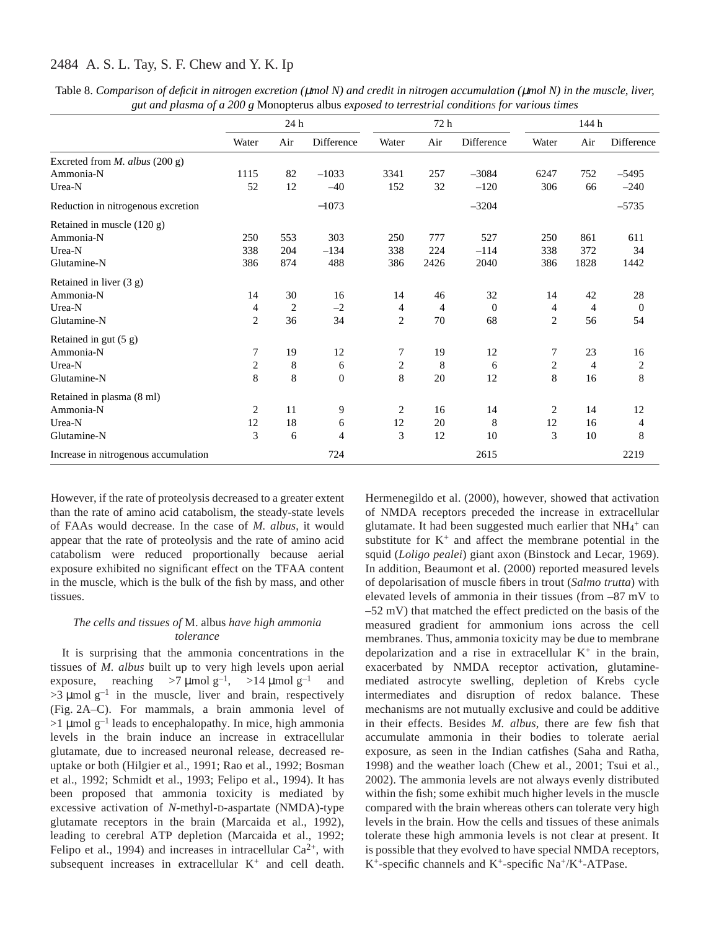| Table 8. Comparison of deficit in nitrogen excretion ( $\mu$ mol N) and credit in nitrogen accumulation ( $\mu$ mol N) in the muscle, liver, |
|----------------------------------------------------------------------------------------------------------------------------------------------|
| gut and plasma of a 200 g Monopterus albus exposed to terrestrial conditions for various times                                               |

|                                       | 24 h           |                | 72 h              |                |      | 144 h      |                |                |                |
|---------------------------------------|----------------|----------------|-------------------|----------------|------|------------|----------------|----------------|----------------|
|                                       | Water          | Air            | <b>Difference</b> | Water          | Air  | Difference | Water          | Air            | Difference     |
| Excreted from <i>M. albus</i> (200 g) |                |                |                   |                |      |            |                |                |                |
| Ammonia-N                             | 1115           | 82             | $-1033$           | 3341           | 257  | $-3084$    | 6247           | 752            | $-5495$        |
| Urea-N                                | 52             | 12             | $-40$             | 152            | 32   | $-120$     | 306            | 66             | $-240$         |
| Reduction in nitrogenous excretion    |                |                | $-1073$           |                |      | $-3204$    |                |                | $-5735$        |
| Retained in muscle (120 g)            |                |                |                   |                |      |            |                |                |                |
| Ammonia-N                             | 250            | 553            | 303               | 250            | 777  | 527        | 250            | 861            | 611            |
| Urea-N                                | 338            | 204            | $-134$            | 338            | 224  | $-114$     | 338            | 372            | 34             |
| Glutamine-N                           | 386            | 874            | 488               | 386            | 2426 | 2040       | 386            | 1828           | 1442           |
| Retained in liver (3 g)               |                |                |                   |                |      |            |                |                |                |
| Ammonia-N                             | 14             | 30             | 16                | 14             | 46   | 32         | 14             | 42             | 28             |
| Urea-N                                | 4              | $\overline{2}$ | $-2$              | 4              | 4    | $\theta$   | 4              | 4              | $\overline{0}$ |
| Glutamine-N                           | $\overline{2}$ | 36             | 34                | $\overline{c}$ | 70   | 68         | $\overline{c}$ | 56             | 54             |
| Retained in gut (5 g)                 |                |                |                   |                |      |            |                |                |                |
| Ammonia-N                             | 7              | 19             | 12                | 7              | 19   | 12         | 7              | 23             | 16             |
| Urea-N                                | $\overline{c}$ | 8              | 6                 | $\overline{c}$ | 8    | 6          | 2              | $\overline{4}$ | $\sqrt{2}$     |
| Glutamine-N                           | 8              | 8              | $\mathbf{0}$      | 8              | 20   | 12         | 8              | 16             | 8              |
| Retained in plasma (8 ml)             |                |                |                   |                |      |            |                |                |                |
| Ammonia-N                             | 2              | 11             | 9                 | 2              | 16   | 14         | 2              | 14             | 12             |
| Urea-N                                | 12             | 18             | 6                 | 12             | 20   | 8          | 12             | 16             | $\overline{4}$ |
| Glutamine-N                           | 3              | 6              | 4                 | 3              | 12   | 10         | 3              | 10             | 8              |
| Increase in nitrogenous accumulation  |                |                | 724               |                |      | 2615       |                |                | 2219           |

However, if the rate of proteolysis decreased to a greater extent than the rate of amino acid catabolism, the steady-state levels of FAAs would decrease. In the case of *M. albus*, it would appear that the rate of proteolysis and the rate of amino acid catabolism were reduced proportionally because aerial exposure exhibited no significant effect on the TFAA content in the muscle, which is the bulk of the fish by mass, and other tissues.

### *The cells and tissues of* M. albus *have high ammonia tolerance*

It is surprising that the ammonia concentrations in the tissues of *M. albus* built up to very high levels upon aerial exposure, reaching  $>7 \mu$ mol g<sup>-1</sup>,  $>14 \mu$ mol g<sup>-1</sup> and  $>3$  µmol g<sup>-1</sup> in the muscle, liver and brain, respectively (Fig. 2A–C). For mammals, a brain ammonia level of  $>1$  µmol g<sup>-1</sup> leads to encephalopathy. In mice, high ammonia levels in the brain induce an increase in extracellular glutamate, due to increased neuronal release, decreased reuptake or both (Hilgier et al., 1991; Rao et al., 1992; Bosman et al., 1992; Schmidt et al., 1993; Felipo et al., 1994). It has been proposed that ammonia toxicity is mediated by excessive activation of *N*-methyl-D-aspartate (NMDA)-type glutamate receptors in the brain (Marcaida et al., 1992), leading to cerebral ATP depletion (Marcaida et al., 1992; Felipo et al., 1994) and increases in intracellular  $Ca^{2+}$ , with subsequent increases in extracellular  $K^+$  and cell death.

Hermenegildo et al. (2000), however, showed that activation of NMDA receptors preceded the increase in extracellular glutamate. It had been suggested much earlier that  $NH_4^+$  can substitute for  $K^+$  and affect the membrane potential in the squid (*Loligo pealei*) giant axon (Binstock and Lecar, 1969). In addition, Beaumont et al. (2000) reported measured levels of depolarisation of muscle fibers in trout (*Salmo trutta*) with elevated levels of ammonia in their tissues (from -87 mV to  $-52$  mV) that matched the effect predicted on the basis of the measured gradient for ammonium ions across the cell membranes. Thus, ammonia toxicity may be due to membrane depolarization and a rise in extracellular  $K^+$  in the brain, exacerbated by NMDA receptor activation, glutaminemediated astrocyte swelling, depletion of Krebs cycle intermediates and disruption of redox balance. These mechanisms are not mutually exclusive and could be additive in their effects. Besides *M. albus*, there are few fish that accumulate ammonia in their bodies to tolerate aerial exposure, as seen in the Indian catfishes (Saha and Ratha, 1998) and the weather loach (Chew et al., 2001; Tsui et al., 2002). The ammonia levels are not always evenly distributed within the fish; some exhibit much higher levels in the muscle compared with the brain whereas others can tolerate very high levels in the brain. How the cells and tissues of these animals tolerate these high ammonia levels is not clear at present. It is possible that they evolved to have special NMDA receptors, K+-specific channels and K+-specific Na+/K+-ATPase.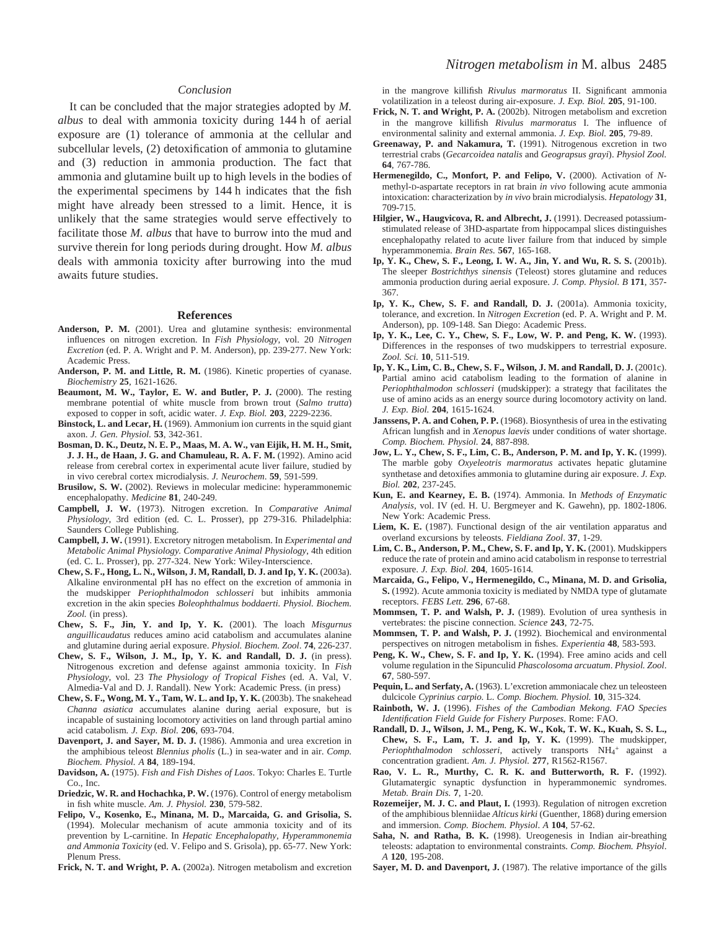#### *Conclusion*

It can be concluded that the major strategies adopted by *M. albus* to deal with ammonia toxicity during 144 h of aerial exposure are (1) tolerance of ammonia at the cellular and subcellular levels, (2) detoxification of ammonia to glutamine and (3) reduction in ammonia production. The fact that ammonia and glutamine built up to high levels in the bodies of the experimental specimens by 144 h indicates that the fish might have already been stressed to a limit. Hence, it is unlikely that the same strategies would serve effectively to facilitate those *M. albus* that have to burrow into the mud and survive therein for long periods during drought. How *M. albus* deals with ammonia toxicity after burrowing into the mud awaits future studies.

#### **References**

- **Anderson, P. M.** (2001). Urea and glutamine synthesis: environmental influences on nitrogen excretion. In *Fish Physiology*, vol. 20 *Nitrogen Excretion* (ed. P. A. Wright and P. M. Anderson), pp. 239-277. New York: Academic Press.
- **Anderson, P. M. and Little, R. M.** (1986). Kinetic properties of cyanase. *Biochemistry* **25**, 1621-1626.
- **Beaumont, M. W., Taylor, E. W. and Butler, P. J.** (2000). The resting membrane potential of white muscle from brown trout (*Salmo trutta*) exposed to copper in soft, acidic water. *J. Exp. Biol.* **203**, 2229-2236.
- **Binstock, L. and Lecar, H.** (1969). Ammonium ion currents in the squid giant axon. *J. Gen. Physiol.* **53**, 342-361.
- **Bosman, D. K., Deutz, N. E. P., Maas, M. A. W., van Eijik, H. M. H., Smit, J. J. H., de Haan, J. G. and Chamuleau, R. A. F. M.** (1992). Amino acid release from cerebral cortex in experimental acute liver failure, studied by in vivo cerebral cortex microdialysis. *J. Neurochem*. **59**, 591-599.
- **Brusilow, S. W.** (2002). Reviews in molecular medicine: hyperammonemic encephalopathy. *Medicine* **81**, 240-249.
- **Campbell, J. W.** (1973). Nitrogen excretion. In *Comparative Animal Physiology*, 3rd edition (ed. C. L. Prosser), pp 279-316. Philadelphia: Saunders College Publishing.
- **Campbell, J. W.** (1991). Excretory nitrogen metabolism. In *Experimental and Metabolic Animal Physiology. Comparative Animal Physiology*, 4th edition (ed. C. L. Prosser), pp. 277-324. New York: Wiley-Interscience.
- **Chew, S. F., Hong, L. N., Wilson, J. M, Randall, D. J. and Ip, Y. K.** (2003a). Alkaline environmental pH has no effect on the excretion of ammonia in the mudskipper *Periophthalmodon schlosseri* but inhibits ammonia excretion in the akin species *Boleophthalmus boddaerti. Physiol. Biochem. Zool.* (in press).
- **Chew, S. F., Jin, Y. and Ip, Y. K.** (2001). The loach *Misgurnus anguillicaudatus* reduces amino acid catabolism and accumulates alanine and glutamine during aerial exposure. *Physiol. Biochem. Zool*. **74**, 226-237.
- **Chew, S. F., Wilson, J. M., Ip, Y. K. and Randall, D. J.** (in press). Nitrogenous excretion and defense against ammonia toxicity. In *Fish Physiology*, vol. 23 *The Physiology of Tropical Fishes* (ed. A. Val, V. Almedia-Val and D. J. Randall). New York: Academic Press. (in press)
- **Chew, S. F., Wong, M. Y., Tam, W. L. and Ip, Y. K.** (2003b). The snakehead *Channa asiatica* accumulates alanine during aerial exposure, but is incapable of sustaining locomotory activities on land through partial amino acid catabolism*. J. Exp. Biol.* **206**, 693-704.
- **Davenport, J. and Sayer, M. D. J.** (1986). Ammonia and urea excretion in the amphibious teleost *Blennius pholis* (L.) in sea-water and in air. *Comp. Biochem. Physiol. A* **84**, 189-194.
- **Davidson, A.** (1975). *Fish and Fish Dishes of Laos*. Tokyo: Charles E. Turtle Co., Inc.
- **Driedzic, W. R. and Hochachka, P. W.** (1976). Control of energy metabolism in fish white muscle. *Am. J. Physiol.* **230**, 579-582.
- **Felipo, V., Kosenko, E., Minana, M. D., Marcaida, G. and Grisolia, S.** (1994). Molecular mechanism of acute ammonia toxicity and of its prevention by L-carnitine. In *Hepatic Encephalopathy, Hyperammonemia and Ammonia Toxicity* (ed. V. Felipo and S. Grisola), pp. 65-77. New York: Plenum Press.

**Frick, N. T. and Wright, P. A.** (2002a). Nitrogen metabolism and excretion

#### *Nitrogen metabolism in* M. albus 2485

in the mangrove killifish *Rivulus marmoratus* II. Significant ammonia volatilization in a teleost during air-exposure. *J. Exp. Biol.* **205**, 91-100.

- **Frick, N. T. and Wright, P. A.** (2002b). Nitrogen metabolism and excretion in the mangrove killifish *Rivulus marmoratus* I. The influence of environmental salinity and external ammonia. *J. Exp. Biol.* **205**, 79-89.
- **Greenaway, P. and Nakamura, T.** (1991). Nitrogenous excretion in two terrestrial crabs (*Gecarcoidea natalis* and *Geograpsus grayi*). *Physiol Zool.* **64**, 767-786.
- **Hermenegildo, C., Monfort, P. and Felipo, V.** (2000). Activation of *N*methyl-D-aspartate receptors in rat brain *in vivo* following acute ammonia intoxication: characterization by *in vivo* brain microdialysis. *Hepatology* **31**, 709-715.
- **Hilgier, W., Haugvicova, R. and Albrecht, J.** (1991). Decreased potassiumstimulated release of 3HD-aspartate from hippocampal slices distinguishes encephalopathy related to acute liver failure from that induced by simple hyperammonemia. *Brain Res.* **567**, 165-168.
- **Ip, Y. K., Chew, S. F., Leong, I. W. A., Jin, Y. and Wu, R. S. S.** (2001b). The sleeper *Bostrichthys sinensis* (Teleost) stores glutamine and reduces ammonia production during aerial exposure. *J. Comp. Physiol. B* **171**, 357- 367.
- **Ip, Y. K., Chew, S. F. and Randall, D. J.** (2001a). Ammonia toxicity, tolerance, and excretion. In *Nitrogen Excretion* (ed. P. A. Wright and P. M. Anderson), pp. 109-148. San Diego: Academic Press.
- **Ip, Y. K., Lee, C. Y., Chew, S. F., Low, W. P. and Peng, K. W.** (1993). Differences in the responses of two mudskippers to terrestrial exposure. *Zool. Sci.* **10**, 511-519.
- **Ip, Y. K., Lim, C. B., Chew, S. F., Wilson, J. M. and Randall, D. J.** (2001c). Partial amino acid catabolism leading to the formation of alanine in *Periophthalmodon schlosseri* (mudskipper): a strategy that facilitates the use of amino acids as an energy source during locomotory activity on land. *J. Exp. Biol.* **204**, 1615-1624.
- Janssens, P. A. and Cohen, P. P. (1968). Biosynthesis of urea in the estivating African lungfish and in *Xenopus laevis* under conditions of water shortage. *Comp. Biochem. Physiol.* **24**, 887-898.
- **Jow, L. Y., Chew, S. F., Lim, C. B., Anderson, P. M. and Ip, Y. K.** (1999). The marble goby *Oxyeleotris marmoratus* activates hepatic glutamine synthetase and detoxifies ammonia to glutamine during air exposure. *J. Exp. Biol.* **202**, 237-245.
- **Kun, E. and Kearney, E. B.** (1974). Ammonia. In *Methods of Enzymatic Analysis*, vol. IV (ed. H. U. Bergmeyer and K. Gawehn), pp. 1802-1806. New York: Academic Press.
- Liem, K. E. (1987). Functional design of the air ventilation apparatus and overland excursions by teleosts. *Fieldiana Zool*. **37**, 1-29.
- **Lim, C. B., Anderson, P. M., Chew, S. F. and Ip, Y. K.** (2001). Mudskippers reduce the rate of protein and amino acid catabolism in response to terrestrial exposure. *J. Exp. Biol.* **204**, 1605-1614*.*
- **Marcaida, G., Felipo, V., Hermenegildo, C., Minana, M. D. and Grisolia, S.** (1992). Acute ammonia toxicity is mediated by NMDA type of glutamate receptors. *FEBS Lett.* **296**, 67-68.
- **Mommsen, T. P. and Walsh, P. J.** (1989). Evolution of urea synthesis in vertebrates: the piscine connection. *Science* **243**, 72-75.
- **Mommsen, T. P. and Walsh, P. J.** (1992). Biochemical and environmental perspectives on nitrogen metabolism in fishes. *Experientia* **48**, 583-593.
- Peng, K. W., Chew, S. F. and Ip, Y. K. (1994). Free amino acids and cell volume regulation in the Sipunculid *Phascolosoma arcuatum*. *Physiol. Zool*. **67**, 580-597.
- **Pequin, L. and Serfaty, A.** (1963). L'excretion ammoniacale chez un teleosteen dulcicole *Cyprinius carpio*. L. *Comp. Biochem. Physiol.* **10**, 315-324.
- **Rainboth, W. J.** (1996). *Fishes of the Cambodian Mekong. FAO Species Identification Field Guide for Fishery Purposes*. Rome: FAO.
- **Randall, D. J., Wilson, J. M., Peng, K. W., Kok, T. W. K., Kuah, S. S. L., Chew, S. F., Lam, T. J. and Ip, Y. K.** (1999). The mudskipper, Periophthalmodon schlosseri, actively transports NH<sub>4</sub>+ against a concentration gradient. *Am. J. Physiol.* **277**, R1562-R1567.
- **Rao, V. L. R., Murthy, C. R. K. and Butterworth, R. F.** (1992). Glutamatergic synaptic dysfunction in hyperammonemic syndromes. *Metab. Brain Dis.* **7**, 1-20.
- **Rozemeijer, M. J. C. and Plaut, I.** (1993). Regulation of nitrogen excretion of the amphibious blenniidae *Alticus kirki* (Guenther, 1868) during emersion and immersion. *Comp. Biochem. Physiol*. *A* **104**, 57-62.
- **Saha, N. and Ratha, B. K.** (1998). Ureogenesis in Indian air-breathing teleosts: adaptation to environmental constraints. *Comp. Biochem. Phsyiol*. *A* **120**, 195-208.
- **Sayer, M. D. and Davenport, J.** (1987). The relative importance of the gills